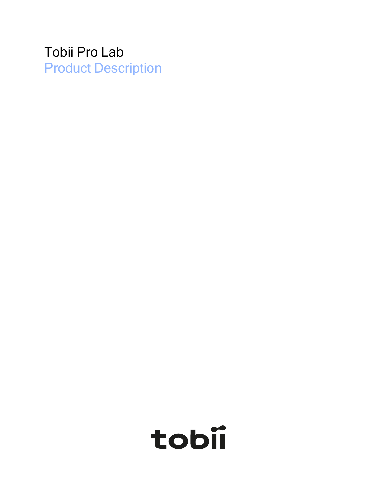## Tobii Pro Lab Product Description

# tobii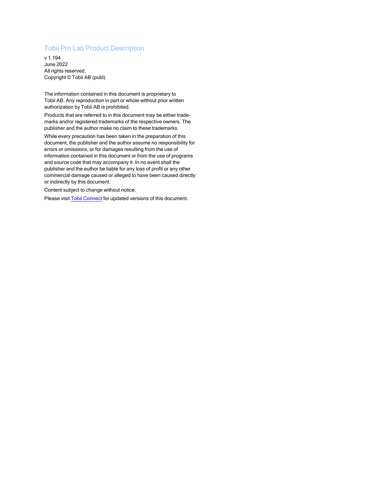#### Tobii Pro Lab Product Description

v 1.194 June 2022 All rights reserved. Copyright © Tobii AB (publ)

The information contained in this document is proprietary to Tobii AB. Any reproduction in part or whole without prior written authorization by Tobii AB is prohibited.

Products that are referred to in this document may be either trademarks and/or registered trademarks of the respective owners. The publisher and the author make no claim to these trademarks.

While every precaution has been taken in the preparation of this document, the publisher and the author assume no responsibility for errors or omissions, or for damages resulting from the use of information contained in this document or from the use of programs and source code that may accompany it. In no event shall the publisher and the author be liable for any loss of profit or any other commercial damage caused or alleged to have been caused directly or indirectly by this document.

Content subject to change without notice.

Please visit Tobii [Connect](https://connect.tobiipro.com/) for updated versions of this document.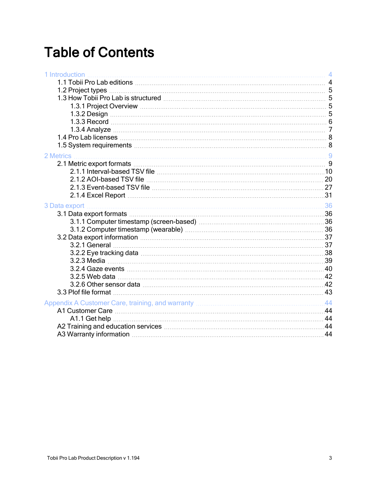# Table of Contents

| 2 Metrics<br>3 Data export | 1 Introduction |  |
|----------------------------|----------------|--|
|                            |                |  |
|                            |                |  |
|                            |                |  |
|                            |                |  |
|                            |                |  |
|                            |                |  |
|                            |                |  |
|                            |                |  |
|                            |                |  |
|                            |                |  |
|                            |                |  |
|                            |                |  |
|                            |                |  |
|                            |                |  |
|                            |                |  |
|                            |                |  |
|                            |                |  |
|                            |                |  |
|                            |                |  |
|                            |                |  |
|                            |                |  |
|                            |                |  |
|                            |                |  |
|                            |                |  |
|                            |                |  |
|                            |                |  |
|                            |                |  |
|                            |                |  |
|                            |                |  |
|                            |                |  |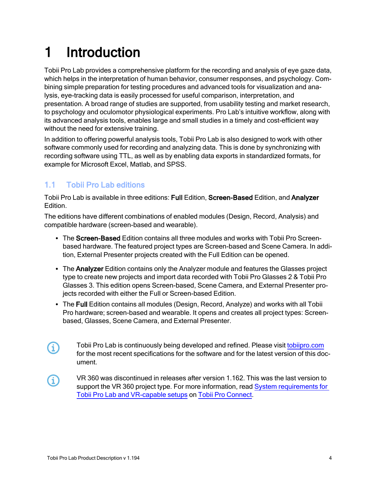# <span id="page-3-0"></span>1 Introduction

Tobii Pro Lab provides a comprehensive platform for the recording and analysis of eye gaze data, which helps in the interpretation of human behavior, consumer responses, and psychology. Combining simple preparation for testing procedures and advanced tools for visualization and analysis, eye-tracking data is easily processed for useful comparison, interpretation, and presentation. A broad range of studies are supported, from usability testing and market research, to psychology and oculomotor physiological experiments. Pro Lab's intuitive workflow, along with its advanced analysis tools, enables large and small studies in a timely and cost-efficient way without the need for extensive training.

In addition to offering powerful analysis tools, Tobii Pro Lab is also designed to work with other software commonly used for recording and analyzing data. This is done by synchronizing with recording software using TTL, as well as by enabling data exports in standardized formats, for example for Microsoft Excel, Matlab, and SPSS.

### <span id="page-3-1"></span>1.1 Tobii Pro Lab editions

Tobii Pro Lab is available in three editions: Full Edition, Screen-Based Edition, and Analyzer Edition.

The editions have different combinations of enabled modules (Design, Record, Analysis) and compatible hardware (screen-based and wearable).

- The Screen-Based Edition contains all three modules and works with Tobii Pro Screenbased hardware. The featured project types are Screen-based and Scene Camera. In addition, External Presenter projects created with the Full Edition can be opened.
- The Analyzer Edition contains only the Analyzer module and features the Glasses project type to create new projects and import data recorded with Tobii Pro Glasses 2 & Tobii Pro Glasses 3. This edition opens Screen-based, Scene Camera, and External Presenter projects recorded with either the Full or Screen-based Edition.
- The Full Edition contains all modules (Design, Record, Analyze) and works with all Tobii Pro hardware; screen-based and wearable. It opens and creates all project types: Screenbased, Glasses, Scene Camera, and External Presenter.
- Tobii Pro Lab is continuously being developed and refined. Please visit [tobiipro.com](http://www.tobiipro.com/) 60 for the most recent specifications for the software and for the latest version of this document.
- VR 360 was discontinued in releases after version 1.162. This was the last version to G) support the VR 360 project type. For more information, read System [requirements](https://connect.tobiipro.com/s/article/System-requirements-for-Tobii-Pro-and-VR) for Tobii Pro Lab and [VR-capable](https://connect.tobiipro.com/s/article/System-requirements-for-Tobii-Pro-and-VR) setups on Tobii Pro [Connect](https://connect.tobiipro.com/).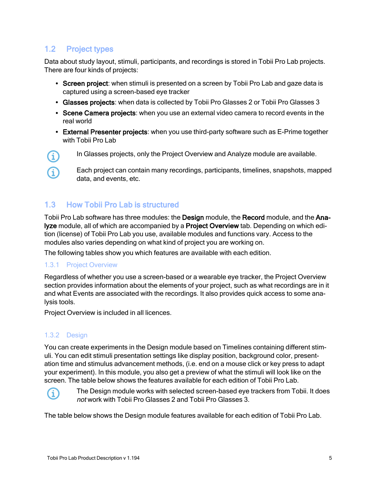## <span id="page-4-0"></span>1.2 Project types

**G** 

Ω

Data about study layout, stimuli, participants, and recordings is stored in Tobii Pro Lab projects. There are four kinds of projects:

- Screen project: when stimuli is presented on a screen by Tobii Pro Lab and gaze data is captured using a screen-based eye tracker
- Glasses projects: when data is collected by Tobii Pro Glasses 2 or Tobii Pro Glasses 3
- Scene Camera projects: when you use an external video camera to record events in the real world
- External Presenter projects: when you use third-party software such as E-Prime together with Tobii Pro Lab
	- In Glasses projects, only the Project Overview and Analyze module are available.
		- Each project can contain many recordings, participants, timelines, snapshots, mapped data, and events, etc.

#### <span id="page-4-1"></span>1.3 How Tobii Pro Lab is structured

Tobii Pro Lab software has three modules: the Design module, the Record module, and the Analyze module, all of which are accompanied by a Project Overview tab. Depending on which edition (license) of Tobii Pro Lab you use, available modules and functions vary. Access to the modules also varies depending on what kind of project you are working on.

<span id="page-4-2"></span>The following tables show you which features are available with each edition.

#### 1.3.1 Project Overview

Regardless of whether you use a screen-based or a wearable eye tracker, the Project Overview section provides information about the elements of your project, such as what recordings are in it and what Events are associated with the recordings. It also provides quick access to some analysis tools.

Project Overview is included in all licences.

#### <span id="page-4-3"></span>1.3.2 Design

You can create experiments in the Design module based on Timelines containing different stimuli. You can edit stimuli presentation settings like display position, background color, presentation time and stimulus advancement methods, (i.e. end on a mouse click or key press to adapt your experiment). In this module, you also get a preview of what the stimuli will look like on the screen. The table below shows the features available for each edition of Tobii Pro Lab.



The Design module works with selected screen-based eye trackers from Tobii. It does not work with Tobii Pro Glasses 2 and Tobii Pro Glasses 3.

The table below shows the Design module features available for each edition of Tobii Pro Lab.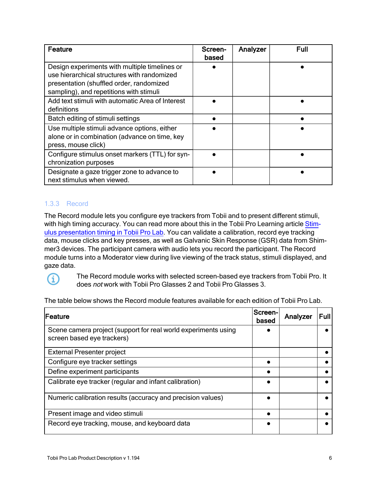| Feature                                                                                                                                                                             | Screen-<br>based | Analyzer | Full |
|-------------------------------------------------------------------------------------------------------------------------------------------------------------------------------------|------------------|----------|------|
| Design experiments with multiple timelines or<br>use hierarchical structures with randomized<br>presentation (shuffled order, randomized<br>sampling), and repetitions with stimuli |                  |          |      |
| Add text stimuli with automatic Area of Interest<br>definitions                                                                                                                     |                  |          |      |
| Batch editing of stimuli settings                                                                                                                                                   |                  |          |      |
| Use multiple stimuli advance options, either<br>alone or in combination (advance on time, key<br>press, mouse click)                                                                |                  |          |      |
| Configure stimulus onset markers (TTL) for syn-<br>chronization purposes                                                                                                            |                  |          |      |
| Designate a gaze trigger zone to advance to<br>next stimulus when viewed.                                                                                                           |                  |          |      |

#### <span id="page-5-0"></span>1.3.3 Record

The Record module lets you configure eye trackers from Tobii and to present different stimuli, with high timing accuracy. You can read more about this in the Tobii Pro Learning article [Stim](https://www.tobiipro.com/learn-and-support/learn/steps-in-an-eye-tracking-study/design/stimulus-presentation-timing-in-pro-lab/)ulus [presentation](https://www.tobiipro.com/learn-and-support/learn/steps-in-an-eye-tracking-study/design/stimulus-presentation-timing-in-pro-lab/) timing in Tobii Pro Lab. You can validate a calibration, record eye tracking data, mouse clicks and key presses, as well as Galvanic Skin Response (GSR) data from Shimmer3 devices. The participant camera with audio lets you record the participant. The Record module turns into a Moderator view during live viewing of the track status, stimuli displayed, and gaze data.



The Record module works with selected screen-based eye trackers from Tobii Pro. It does not work with Tobii Pro Glasses 2 and Tobii Pro Glasses 3.

The table below shows the Record module features available for each edition of Tobii Pro Lab.

| Feature                                                                                      | Screen-l<br>based | Analyzer | <b>Full</b> |
|----------------------------------------------------------------------------------------------|-------------------|----------|-------------|
| Scene camera project (support for real world experiments using<br>screen based eye trackers) |                   |          |             |
| <b>External Presenter project</b>                                                            |                   |          |             |
| Configure eye tracker settings                                                               |                   |          |             |
| Define experiment participants                                                               |                   |          |             |
| Calibrate eye tracker (regular and infant calibration)                                       |                   |          |             |
| Numeric calibration results (accuracy and precision values)                                  |                   |          |             |
| Present image and video stimuli                                                              |                   |          |             |
| Record eye tracking, mouse, and keyboard data                                                |                   |          |             |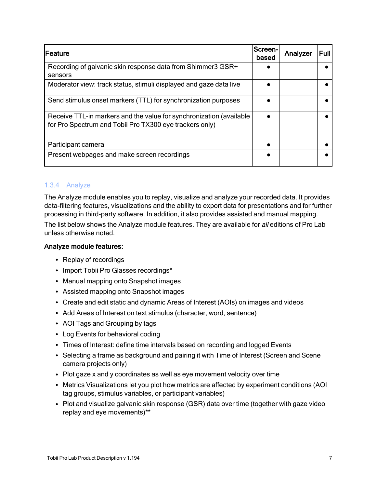| <b>IFeature</b>                                                                                                                | <b>Screen-I</b><br>based | Analyzer | Full |
|--------------------------------------------------------------------------------------------------------------------------------|--------------------------|----------|------|
| Recording of galvanic skin response data from Shimmer3 GSR+<br>sensors                                                         |                          |          |      |
| Moderator view: track status, stimuli displayed and gaze data live                                                             |                          |          |      |
| Send stimulus onset markers (TTL) for synchronization purposes                                                                 |                          |          |      |
| Receive TTL-in markers and the value for synchronization (available<br>for Pro Spectrum and Tobii Pro TX300 eye trackers only) |                          |          |      |
| Participant camera                                                                                                             |                          |          |      |
| Present webpages and make screen recordings                                                                                    |                          |          |      |

#### <span id="page-6-0"></span>1.3.4 Analyze

The Analyze module enables you to replay, visualize and analyze your recorded data. It provides data-filtering features, visualizations and the ability to export data for presentations and for further processing in third-party software. In addition, it also provides assisted and manual mapping.

The list below shows the Analyze module features. They are available for all editions of Pro Lab unless otherwise noted.

#### Analyze module features:

- Replay of recordings
- Import Tobii Pro Glasses recordings\*
- Manual mapping onto Snapshot images
- Assisted mapping onto Snapshot images
- Create and edit static and dynamic Areas of Interest (AOIs) on images and videos
- Add Areas of Interest on text stimulus (character, word, sentence)
- AOI Tags and Grouping by tags
- Log Events for behavioral coding
- Times of Interest: define time intervals based on recording and logged Events
- Selecting a frame as background and pairing it with Time of Interest (Screen and Scene camera projects only)
- Plot gaze x and y coordinates as well as eye movement velocity over time
- Metrics Visualizations let you plot how metrics are affected by experiment conditions (AOI) tag groups, stimulus variables, or participant variables)
- Plot and visualize galvanic skin response (GSR) data over time (together with gaze video replay and eye movements)\*\*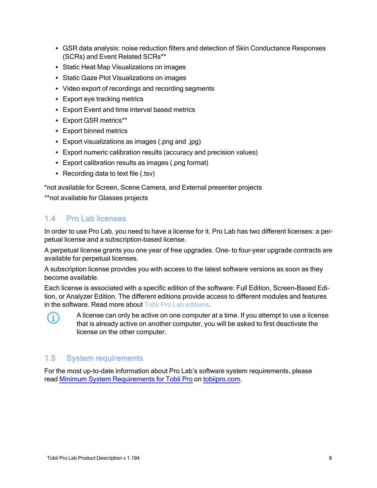- GSR data analysis: noise reduction filters and detection of Skin Conductance Responses (SCRs) and Event Related SCRs\*\*
- Static Heat Map Visualizations on images
- Static Gaze Plot Visualizations on images
- Video export of recordings and recording segments
- Export eye tracking metrics
- Export Event and time interval based metrics
- Export GSR metrics\*\*
- Export binned metrics
- Export visualizations as images (.png and .jpg)
- Export numeric calibration results (accuracy and precision values)
- Export calibration results as images (.png format)
- Recording data to text file  $(.tsv)$

\*not available for Screen, Scene Camera, and External presenter projects

\*\*not available for Glasses projects

#### <span id="page-7-0"></span>1.4 Pro Lab licenses

In order to use Pro Lab, you need to have a license for it. Pro Lab has two different licenses: a perpetual license and a subscription–based license.

A perpetual license grants you one year of free upgrades. One– to four–year upgrade contracts are available for perpetual licenses.

A subscription license provides you with access to the latest software versions as soon as they become available.

Each license is associated with a specific edition of the software: Full Edition, Screen-Based Edition, or Analyzer Edition. The different editions provide access to different modules and features in the software. Read more about Tobii Pro Lab [editions](#page-3-1).



A license can only be active on one computer at a time. If you attempt to use a license that is already active on another computer, you will be asked to first deactivate the license on the other computer.

#### <span id="page-7-1"></span>1.5 System requirements

For the most up-to-date information about Pro Lab's software system requirements, please read Minimum System [Requirements](https://www.tobiipro.com/product-listing/software/tobii-pro-lab/system-requirements/) for Tobii Pro on [tobiipro.com](https://www.tobiipro.com/).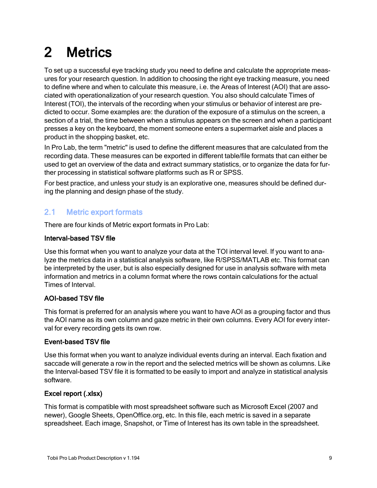# <span id="page-8-0"></span>2 Metrics

To set up a successful eye tracking study you need to define and calculate the appropriate measures for your research question. In addition to choosing the right eye tracking measure, you need to define where and when to calculate this measure, i.e. the Areas of Interest (AOI) that are associated with operationalization of your research question. You also should calculate Times of Interest (TOI), the intervals of the recording when your stimulus or behavior of interest are predicted to occur. Some examples are: the duration of the exposure of a stimulus on the screen, a section of a trial, the time between when a stimulus appears on the screen and when a participant presses a key on the keyboard, the moment someone enters a supermarket aisle and places a product in the shopping basket, etc.

In Pro Lab, the term "metric" is used to define the different measures that are calculated from the recording data. These measures can be exported in different table/file formats that can either be used to get an overview of the data and extract summary statistics, or to organize the data for further processing in statistical software platforms such as R or SPSS.

For best practice, and unless your study is an explorative one, measures should be defined during the planning and design phase of the study.

#### <span id="page-8-1"></span>2.1 Metric export formats

There are four kinds of Metric export formats in Pro Lab:

#### Interval-based TSV file

Use this format when you want to analyze your data at the TOI interval level. If you want to analyze the metrics data in a statistical analysis software, like R/SPSS/MATLAB etc. This format can be interpreted by the user, but is also especially designed for use in analysis software with meta information and metrics in a column format where the rows contain calculations for the actual Times of Interval.

#### AOI-based TSV file

This format is preferred for an analysis where you want to have AOI as a grouping factor and thus the AOI name as its own column and gaze metric in their own columns. Every AOI for every interval for every recording gets its own row.

#### Event-based TSV file

Use this format when you want to analyze individual events during an interval. Each fixation and saccade will generate a row in the report and the selected metrics will be shown as columns. Like the Interval-based TSV file it is formatted to be easily to import and analyze in statistical analysis software.

#### Excel report (.xlsx)

This format is compatible with most spreadsheet software such as Microsoft Excel (2007 and newer), Google Sheets, OpenOffice.org, etc. In this file, each metric is saved in a separate spreadsheet. Each image, Snapshot, or Time of Interest has its own table in the spreadsheet.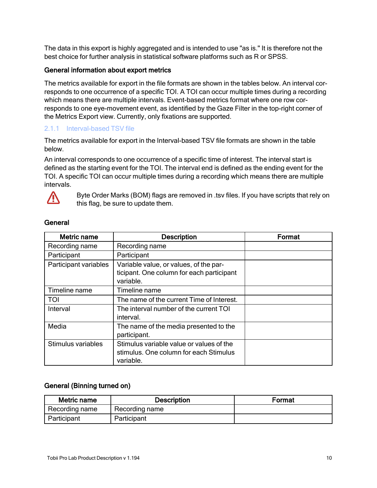The data in this export is highly aggregated and is intended to use "as is." It is therefore not the best choice for further analysis in statistical software platforms such as R or SPSS.

#### General information about export metrics

The metrics available for export in the file formats are shown in the tables below. An interval corresponds to one occurrence of a specific TOI. A TOI can occur multiple times during a recording which means there are multiple intervals. Event-based metrics format where one row corresponds to one eye-movement event, as identified by the Gaze Filter in the top-right corner of the Metrics Export view. Currently, only fixations are supported.

#### <span id="page-9-0"></span>2.1.1 Interval-based TSV file

The metrics available for export in the Interval-based TSV file formats are shown in the table below.

An interval corresponds to one occurrence of a specific time of interest. The interval start is defined as the starting event for the TOI. The interval end is defined as the ending event for the TOI. A specific TOI can occur multiple times during a recording which means there are multiple intervals.



Byte Order Marks (BOM) flags are removed in .tsv files. If you have scripts that rely on this flag, be sure to update them.

| <b>Metric name</b>    | <b>Description</b>                        | Format |
|-----------------------|-------------------------------------------|--------|
| Recording name        | Recording name                            |        |
| Participant           | Participant                               |        |
| Participant variables | Variable value, or values, of the par-    |        |
|                       | ticipant. One column for each participant |        |
|                       | variable.                                 |        |
| Timeline name         | Timeline name                             |        |
| <b>TOI</b>            | The name of the current Time of Interest. |        |
| Interval              | The interval number of the current TOI    |        |
|                       | interval.                                 |        |
| Media                 | The name of the media presented to the    |        |
|                       | participant.                              |        |
| Stimulus variables    | Stimulus variable value or values of the  |        |
|                       | stimulus. One column for each Stimulus    |        |
|                       | variable.                                 |        |

#### **General**

#### General (Binning turned on)

| Metric name    | <b>Description</b> | Format |
|----------------|--------------------|--------|
| Recording name | Recording name     |        |
| Participant    | Participant        |        |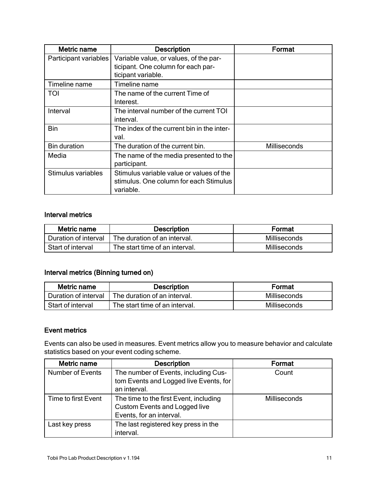| <b>Metric name</b>    | <b>Description</b>                                                                                 | Format       |
|-----------------------|----------------------------------------------------------------------------------------------------|--------------|
| Participant variables | Variable value, or values, of the par-<br>ticipant. One column for each par-<br>ticipant variable. |              |
| Timeline name         | Timeline name                                                                                      |              |
| <b>TOI</b>            | The name of the current Time of<br>Interest.                                                       |              |
| Interval              | The interval number of the current TOI<br>interval.                                                |              |
| <b>Bin</b>            | The index of the current bin in the inter-<br>val.                                                 |              |
| <b>Bin duration</b>   | The duration of the current bin.                                                                   | Milliseconds |
| Media                 | The name of the media presented to the<br>participant.                                             |              |
| Stimulus variables    | Stimulus variable value or values of the<br>stimulus. One column for each Stimulus<br>variable.    |              |

#### Interval metrics

| Metric name          | <b>Description</b>             | Format       |
|----------------------|--------------------------------|--------------|
| Duration of interval | The duration of an interval.   | Milliseconds |
| Start of interval    | The start time of an interval. | Milliseconds |

#### Interval metrics (Binning turned on)

| Metric name          | <b>Description</b>             | Format       |
|----------------------|--------------------------------|--------------|
| Duration of interval | The duration of an interval.   | Milliseconds |
| Start of interval    | The start time of an interval. | Milliseconds |

#### Event metrics

Events can also be used in measures. Event metrics allow you to measure behavior and calculate statistics based on your event coding scheme.

| Metric name             | <b>Description</b>                     | Format       |
|-------------------------|----------------------------------------|--------------|
| <b>Number of Events</b> | The number of Events, including Cus-   | Count        |
|                         | tom Events and Logged live Events, for |              |
|                         | an interval.                           |              |
| Time to first Event     | The time to the first Event, including | Milliseconds |
|                         | <b>Custom Events and Logged live</b>   |              |
|                         | Events, for an interval.               |              |
| Last key press          | The last registered key press in the   |              |
|                         | interval.                              |              |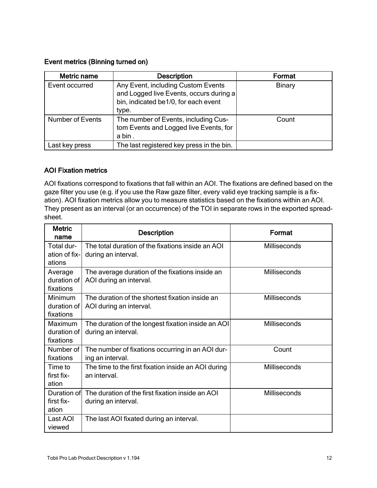#### Event metrics (Binning turned on)

| Metric name             | <b>Description</b>                        | Format        |
|-------------------------|-------------------------------------------|---------------|
| Event occurred          | Any Event, including Custom Events        | <b>Binary</b> |
|                         | and Logged live Events, occurs during a   |               |
|                         | bin, indicated be1/0, for each event      |               |
|                         | type.                                     |               |
| <b>Number of Events</b> | The number of Events, including Cus-      | Count         |
|                         | tom Events and Logged live Events, for    |               |
|                         | a bin.                                    |               |
| Last key press          | The last registered key press in the bin. |               |

#### AOI Fixation metrics

AOI fixations correspond to fixations that fall within an AOI. The fixations are defined based on the gaze filter you use (e.g. if you use the Raw gaze filter, every valid eye tracking sample is a fixation). AOI fixation metrics allow you to measure statistics based on the fixations within an AOI. They present as an interval (or an occurrence) of the TOI in separate rows in the exported spreadsheet.

| <b>Metric</b><br>name                        | <b>Description</b>                                                         | Format              |
|----------------------------------------------|----------------------------------------------------------------------------|---------------------|
| Total dur-<br>ation of fix-<br>ations        | The total duration of the fixations inside an AOI<br>during an interval.   | Milliseconds        |
| Average<br>duration of<br>fixations          | The average duration of the fixations inside an<br>AOI during an interval. | Milliseconds        |
| <b>Minimum</b><br>duration of I<br>fixations | The duration of the shortest fixation inside an<br>AOI during an interval. | <b>Milliseconds</b> |
| Maximum<br>duration of<br>fixations          | The duration of the longest fixation inside an AOI<br>during an interval.  | Milliseconds        |
| Number of<br>fixations                       | The number of fixations occurring in an AOI dur-<br>ing an interval.       | Count               |
| Time to<br>first fix-<br>ation               | The time to the first fixation inside an AOI during<br>an interval.        | Milliseconds        |
| Duration of<br>first fix-<br>ation           | The duration of the first fixation inside an AOI<br>during an interval.    | Milliseconds        |
| Last AOI<br>viewed                           | The last AOI fixated during an interval.                                   |                     |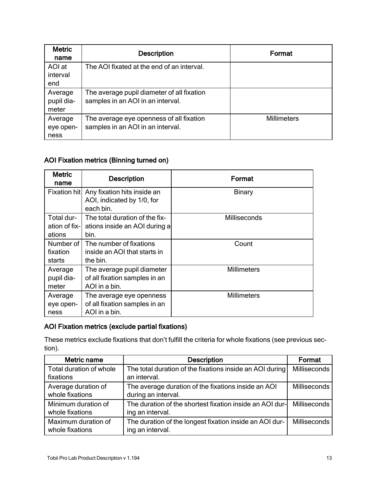| <b>Metric</b><br>name          | <b>Description</b>                                                              | Format             |
|--------------------------------|---------------------------------------------------------------------------------|--------------------|
| AOI at<br>interval<br>end      | The AOI fixated at the end of an interval.                                      |                    |
| Average<br>pupil dia-<br>meter | The average pupil diameter of all fixation<br>samples in an AOI in an interval. |                    |
| Average<br>eye open-<br>ness   | The average eye openness of all fixation<br>samples in an AOI in an interval.   | <b>Millimeters</b> |

#### AOI Fixation metrics (Binning turned on)

| <b>Metric</b><br>name | <b>Description</b>                                                     | Format             |
|-----------------------|------------------------------------------------------------------------|--------------------|
|                       | Fixation hit Any fixation hits inside an<br>AOI, indicated by 1/0, for | <b>Binary</b>      |
|                       | each bin.                                                              |                    |
| Total dur-            | The total duration of the fix-                                         | Milliseconds       |
| ation of fix-l        | ations inside an AOI during a                                          |                    |
| ations                | bin.                                                                   |                    |
| Number of I           | The number of fixations                                                | Count              |
| fixation              | inside an AOI that starts in                                           |                    |
| starts                | the bin.                                                               |                    |
| Average               | The average pupil diameter                                             | <b>Millimeters</b> |
| pupil dia-            | of all fixation samples in an                                          |                    |
| meter                 | AOI in a bin.                                                          |                    |
| Average               | The average eye openness                                               | Millimeters        |
| eye open-             | of all fixation samples in an                                          |                    |
| ness                  | AOI in a bin.                                                          |                    |

#### AOI Fixation metrics (exclude partial fixations)

These metrics exclude fixations that don't fulfill the criteria for whole fixations (see previous section).

| Metric name             | <b>Description</b>                                       | Format              |
|-------------------------|----------------------------------------------------------|---------------------|
| Total duration of whole | The total duration of the fixations inside an AOI during | Milliseconds        |
| fixations               | an interval.                                             |                     |
| Average duration of     | The average duration of the fixations inside an AOI      | <b>Milliseconds</b> |
| whole fixations         | during an interval.                                      |                     |
| Minimum duration of     | The duration of the shortest fixation inside an AOI dur- | Milliseconds        |
| whole fixations         | ing an interval.                                         |                     |
| Maximum duration of     | The duration of the longest fixation inside an AOI dur-  | <b>Milliseconds</b> |
| whole fixations         | ing an interval.                                         |                     |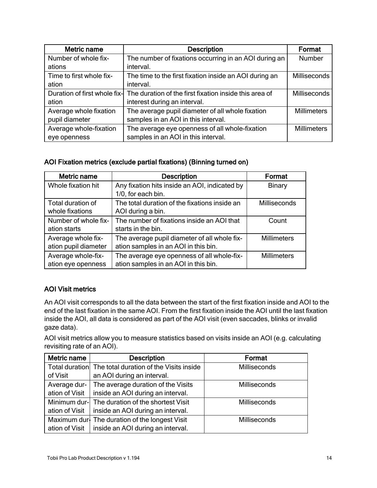| Metric name                  | <b>Description</b>                                     | Format              |
|------------------------------|--------------------------------------------------------|---------------------|
| Number of whole fix-         | The number of fixations occurring in an AOI during an  | Number              |
| ations                       | interval.                                              |                     |
| Time to first whole fix-     | The time to the first fixation inside an AOI during an | <b>Milliseconds</b> |
| ation                        | interval.                                              |                     |
| Duration of first whole fix- | The duration of the first fixation inside this area of | Milliseconds        |
| ation                        | interest during an interval.                           |                     |
| Average whole fixation       | The average pupil diameter of all whole fixation       | <b>Millimeters</b>  |
| pupil diameter               | samples in an AOI in this interval.                    |                     |
| Average whole-fixation       | The average eye openness of all whole-fixation         | <b>Millimeters</b>  |
| eye openness                 | samples in an AOI in this interval.                    |                     |

#### AOI Fixation metrics (exclude partial fixations) (Binning turned on)

| <b>Metric name</b>   | <b>Description</b>                            | Format             |
|----------------------|-----------------------------------------------|--------------------|
| Whole fixation hit   | Any fixation hits inside an AOI, indicated by | <b>Binary</b>      |
|                      | 1/0, for each bin.                            |                    |
| Total duration of    | The total duration of the fixations inside an | Milliseconds       |
| whole fixations      | AOI during a bin.                             |                    |
| Number of whole fix- | The number of fixations inside an AOI that    | Count              |
| ation starts         | starts in the bin.                            |                    |
| Average whole fix-   | The average pupil diameter of all whole fix-  | <b>Millimeters</b> |
| ation pupil diameter | ation samples in an AOI in this bin.          |                    |
| Average whole-fix-   | The average eye openness of all whole-fix-    | <b>Millimeters</b> |
| ation eye openness   | ation samples in an AOI in this bin.          |                    |

#### AOI Visit metrics

An AOI visit corresponds to all the data between the start of the first fixation inside and AOI to the end of the last fixation in the same AOI. From the first fixation inside the AOI until the last fixation inside the AOI, all data is considered as part of the AOI visit (even saccades, blinks or invalid gaze data).

AOI visit metrics allow you to measure statistics based on visits inside an AOI (e.g. calculating revisiting rate of an AOI).

| Metric name    | <b>Description</b>                                     | Format       |
|----------------|--------------------------------------------------------|--------------|
|                | Total duration The total duration of the Visits inside | Milliseconds |
| of Visit       | an AOI during an interval.                             |              |
| Average dur-   | The average duration of the Visits                     | Milliseconds |
| ation of Visit | inside an AOI during an interval.                      |              |
|                | Minimum dur- The duration of the shortest Visit        | Milliseconds |
| ation of Visit | inside an AOI during an interval.                      |              |
|                | Maximum dur- The duration of the longest Visit         | Milliseconds |
| ation of Visit | inside an AOI during an interval.                      |              |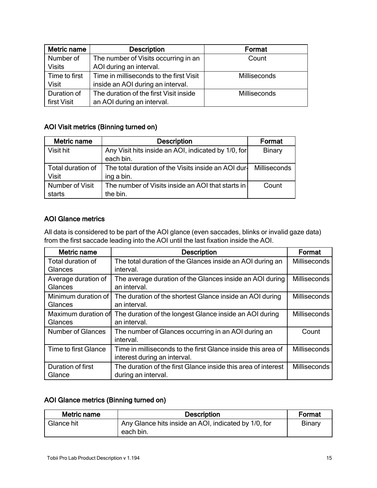| Metric name   | <b>Description</b>                      | Format       |
|---------------|-----------------------------------------|--------------|
| Number of     | The number of Visits occurring in an    | Count        |
| <b>Visits</b> | AOI during an interval.                 |              |
| Time to first | Time in milliseconds to the first Visit | Milliseconds |
| <b>Visit</b>  | inside an AOI during an interval.       |              |
| Duration of   | The duration of the first Visit inside  | Milliseconds |
| first Visit   | an AOI during an interval.              |              |

#### AOI Visit metrics (Binning turned on)

| Metric name                       | <b>Description</b>                                                | Format              |
|-----------------------------------|-------------------------------------------------------------------|---------------------|
| Visit hit                         | Any Visit hits inside an AOI, indicated by 1/0, for<br>each bin.  | <b>Binary</b>       |
| Total duration of<br><b>Visit</b> | The total duration of the Visits inside an AOI dur-<br>ing a bin. | <b>Milliseconds</b> |
| Number of Visit<br>starts         | The number of Visits inside an AOI that starts in<br>the bin.     | Count               |

#### AOI Glance metrics

All data is considered to be part of the AOI glance (even saccades, blinks or invalid gaze data) from the first saccade leading into the AOI until the last fixation inside the AOI.

| Metric name          | <b>Description</b>                                            | Format              |
|----------------------|---------------------------------------------------------------|---------------------|
| Total duration of    | The total duration of the Glances inside an AOI during an     | <b>Milliseconds</b> |
| Glances              | interval.                                                     |                     |
| Average duration of  | The average duration of the Glances inside an AOI during      | <b>Milliseconds</b> |
| Glances              | an interval.                                                  |                     |
| Minimum duration of  | The duration of the shortest Glance inside an AOI during      | <b>Milliseconds</b> |
| Glances              | an interval.                                                  |                     |
| Maximum duration of  | The duration of the longest Glance inside an AOI during       | <b>Milliseconds</b> |
| Glances              | an interval.                                                  |                     |
| Number of Glances    | The number of Glances occurring in an AOI during an           | Count               |
|                      | interval.                                                     |                     |
| Time to first Glance | Time in milliseconds to the first Glance inside this area of  | <b>Milliseconds</b> |
|                      | interest during an interval.                                  |                     |
| Duration of first    | The duration of the first Glance inside this area of interest | Milliseconds        |
| Glance               | during an interval.                                           |                     |

#### AOI Glance metrics (Binning turned on)

| Metric name | <b>Description</b>                                                | Format |
|-------------|-------------------------------------------------------------------|--------|
| Glance hit  | Any Glance hits inside an AOI, indicated by 1/0, for<br>each bin. | Binary |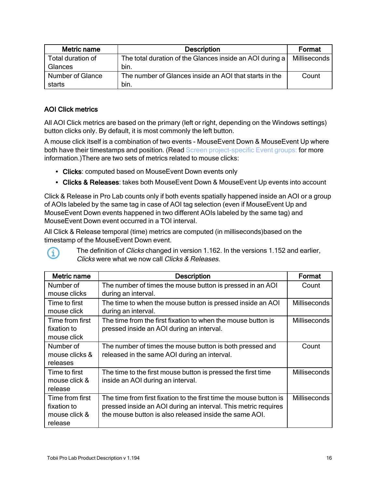| Metric name                       | <b>Description</b>                                               | Format       |
|-----------------------------------|------------------------------------------------------------------|--------------|
| Total duration of<br>Glances      | The total duration of the Glances inside an AOI during a<br>bin. | Milliseconds |
| <b>Number of Glance</b><br>starts | The number of Glances inside an AOI that starts in the<br>bin.   | Count        |

#### AOI Click metrics

(i)

All AOI Click metrics are based on the primary (left or right, depending on the Windows settings) button clicks only. By default, it is most commonly the left button.

A mouse click itself is a combination of two events - MouseEvent Down & MouseEvent Up where both have their timestamps and position. (Read Screen [project-specific](../../../../../../Content/Pro Lab/Pro Lab_UserManual/Replay tools.htm#MouseEvents) Event groups: for more information.)There are two sets of metrics related to mouse clicks:

- Clicks: computed based on MouseEvent Down events only
- Clicks & Releases: takes both MouseEvent Down & MouseEvent Up events into account

Click & Release in Pro Lab counts only if both events spatially happened inside an AOI or a group of AOIs labeled by the same tag in case of AOI tag selection (even if MouseEvent Up and MouseEvent Down events happened in two different AOIs labeled by the same tag) and MouseEvent Down event occurred in a TOI interval.

All Click & Release temporal (time) metrics are computed (in milliseconds)based on the timestamp of the MouseEvent Down event.

Metric name  $\qquad \qquad$  Description  $\qquad \qquad$  Format Number of mouse clicks The number of times the mouse button is pressed in an AOI during an interval. **Count** Time to first mouse click The time to when the mouse button is pressed inside an AOI during an interval. Milliseconds Time from first fixation to mouse click The time from the first fixation to when the mouse button is pressed inside an AOI during an interval. **Milliseconds** Number of mouse clicks & releases The number of times the mouse button is both pressed and released in the same AOI during an interval. **Count** Time to first mouse click & release The time to the first mouse button is pressed the first time inside an AOI during an interval. **Milliseconds** Time from first fixation to mouse click & release The time from first fixation to the first time the mouse button is pressed inside an AOI during an interval. This metric requires the mouse button is also released inside the same AOI. Milliseconds

The definition of *Clicks* changed in version 1.162. In the versions 1.152 and earlier, Clicks were what we now call Clicks & Releases.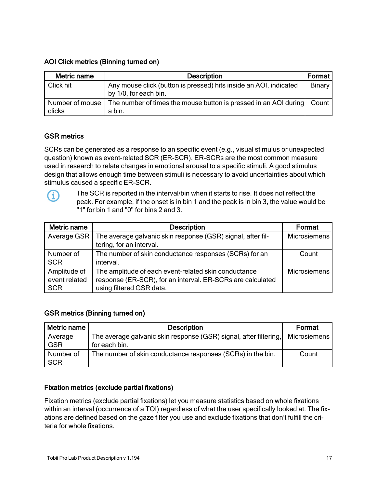#### AOI Click metrics (Binning turned on)

| Metric name     | <b>Description</b>                                                | <b>Format</b> |
|-----------------|-------------------------------------------------------------------|---------------|
| Click hit       | Any mouse click (button is pressed) hits inside an AOI, indicated | Binary        |
|                 | by 1/0, for each bin.                                             |               |
| Number of mouse | The number of times the mouse button is pressed in an AOI during  | Count         |
| clicks          | a bin.                                                            |               |

#### GSR metrics

SCRs can be generated as a response to an specific event (e.g., visual stimulus or unexpected question) known as event-related SCR (ER-SCR). ER-SCRs are the most common measure used in research to relate changes in emotional arousal to a specific stimuli. A good stimulus design that allows enough time between stimuli is necessary to avoid uncertainties about which stimulus caused a specific ER-SCR.



The SCR is reported in the interval/bin when it starts to rise. It does not reflect the peak. For example, if the onset is in bin 1 and the peak is in bin 3, the value would be "1" for bin 1 and "0" for bins 2 and 3.

| Metric name   | <b>Description</b>                                          | Format              |
|---------------|-------------------------------------------------------------|---------------------|
| Average GSR   | The average galvanic skin response (GSR) signal, after fil- | <b>Microsiemens</b> |
|               | tering, for an interval.                                    |                     |
| Number of     | The number of skin conductance responses (SCRs) for an      | Count               |
| <b>SCR</b>    | interval.                                                   |                     |
| Amplitude of  | The amplitude of each event-related skin conductance        | <b>Microsiemens</b> |
| event related | response (ER-SCR), for an interval. ER-SCRs are calculated  |                     |
| <b>SCR</b>    | using filtered GSR data.                                    |                     |

#### GSR metrics (Binning turned on)

| Metric name             | <b>Description</b>                                                                 | Format       |
|-------------------------|------------------------------------------------------------------------------------|--------------|
| Average<br><b>GSR</b>   | The average galvanic skin response (GSR) signal, after filtering,<br>for each bin. | Microsiemens |
| Number of<br><b>SCR</b> | The number of skin conductance responses (SCRs) in the bin.                        | Count        |

#### Fixation metrics (exclude partial fixations)

Fixation metrics (exclude partial fixations) let you measure statistics based on whole fixations within an interval (occurrence of a TOI) regardless of what the user specifically looked at. The fixations are defined based on the gaze filter you use and exclude fixations that don't fulfill the criteria for whole fixations.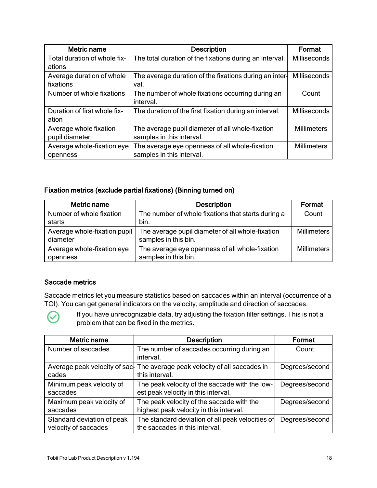| Metric name                  | <b>Description</b>                                      | Format              |
|------------------------------|---------------------------------------------------------|---------------------|
| Total duration of whole fix- | The total duration of the fixations during an interval. | <b>Milliseconds</b> |
| ations                       |                                                         |                     |
| Average duration of whole    | The average duration of the fixations during an inter-  | <b>Milliseconds</b> |
| fixations                    | val.                                                    |                     |
| Number of whole fixations    | The number of whole fixations occurring during an       | Count               |
|                              | interval.                                               |                     |
| Duration of first whole fix- | The duration of the first fixation during an interval.  | Milliseconds        |
| ation                        |                                                         |                     |
| Average whole fixation       | The average pupil diameter of all whole-fixation        | <b>Millimeters</b>  |
| pupil diameter               | samples in this interval.                               |                     |
| Average whole-fixation eye   | The average eye openness of all whole-fixation          | <b>Millimeters</b>  |
| openness                     | samples in this interval.                               |                     |

#### Fixation metrics (exclude partial fixations) (Binning turned on)

| Metric name                  | <b>Description</b>                                 | Format             |
|------------------------------|----------------------------------------------------|--------------------|
| Number of whole fixation     | The number of whole fixations that starts during a | Count              |
| starts                       | bin.                                               |                    |
| Average whole-fixation pupil | The average pupil diameter of all whole-fixation   | <b>Millimeters</b> |
| diameter                     | samples in this bin.                               |                    |
| Average whole-fixation eye   | The average eye openness of all whole-fixation     | <b>Millimeters</b> |
| openness                     | samples in this bin.                               |                    |

#### Saccade metrics

Saccade metrics let you measure statistics based on saccades within an interval (occurrence of a TOI). You can get general indicators on the velocity, amplitude and direction of saccades.



If you have unrecognizable data, try adjusting the fixation filter settings. This is not a problem that can be fixed in the metrics.

| Metric name                                        | <b>Description</b>                                                                           | Format         |
|----------------------------------------------------|----------------------------------------------------------------------------------------------|----------------|
| Number of saccades                                 | The number of saccades occurring during an<br>interval.                                      | Count          |
| cades                                              | Average peak velocity of sac- The average peak velocity of all saccades in<br>this interval. | Degrees/second |
| Minimum peak velocity of<br>saccades               | The peak velocity of the saccade with the low-<br>est peak velocity in this interval.        | Degrees/second |
| Maximum peak velocity of<br>saccades               | The peak velocity of the saccade with the<br>highest peak velocity in this interval.         | Degrees/second |
| Standard deviation of peak<br>velocity of saccades | The standard deviation of all peak velocities of<br>the saccades in this interval.           | Degrees/second |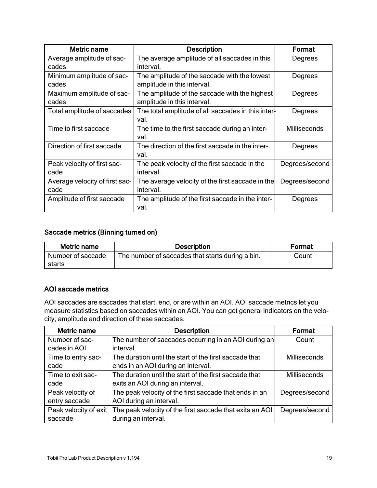| <b>Metric name</b>                     | <b>Description</b>                                                           | Format              |
|----------------------------------------|------------------------------------------------------------------------------|---------------------|
| Average amplitude of sac-<br>cades     | The average amplitude of all saccades in this<br>interval.                   | Degrees             |
| Minimum amplitude of sac-<br>cades     | The amplitude of the saccade with the lowest<br>amplitude in this interval.  | Degrees             |
| Maximum amplitude of sac-<br>cades     | The amplitude of the saccade with the highest<br>amplitude in this interval. | Degrees             |
| Total amplitude of saccades            | The total amplitude of all saccades in this inter-<br>val.                   | Degrees             |
| Time to first saccade                  | The time to the first saccade during an inter-<br>val.                       | <b>Milliseconds</b> |
| Direction of first saccade             | The direction of the first saccade in the inter-<br>val.                     | Degrees             |
| Peak velocity of first sac-<br>cade    | The peak velocity of the first saccade in the<br>interval.                   | Degrees/second      |
| Average velocity of first sac-<br>cade | The average velocity of the first saccade in the<br>interval.                | Degrees/second      |
| Amplitude of first saccade             | The amplitude of the first saccade in the inter-<br>val.                     | Degrees             |

#### Saccade metrics (Binning turned on)

| Metric name       | <b>Description</b>                               | Format |
|-------------------|--------------------------------------------------|--------|
| Number of saccade | The number of saccades that starts during a bin. | Count  |
| starts            |                                                  |        |

#### AOI saccade metrics

AOI saccades are saccades that start, end, or are within an AOI. AOI saccade metrics let you measure statistics based on saccades within an AOI. You can get general indicators on the velocity, amplitude and direction of these saccades.

| Metric name           | <b>Description</b>                                       | Format              |
|-----------------------|----------------------------------------------------------|---------------------|
| Number of sac-        | The number of saccades occurring in an AOI during an     | Count               |
| cades in AOI          | interval.                                                |                     |
| Time to entry sac-    | The duration until the start of the first saccade that   | <b>Milliseconds</b> |
| cade                  | ends in an AOI during an interval.                       |                     |
| Time to exit sac-     | The duration until the start of the first saccade that   | Milliseconds        |
| cade                  | exits an AOI during an interval.                         |                     |
| Peak velocity of      | The peak velocity of the first saccade that ends in an   | Degrees/second      |
| entry saccade         | AOI during an interval.                                  |                     |
| Peak velocity of exit | The peak velocity of the first saccade that exits an AOI | Degrees/second      |
| saccade               | during an interval.                                      |                     |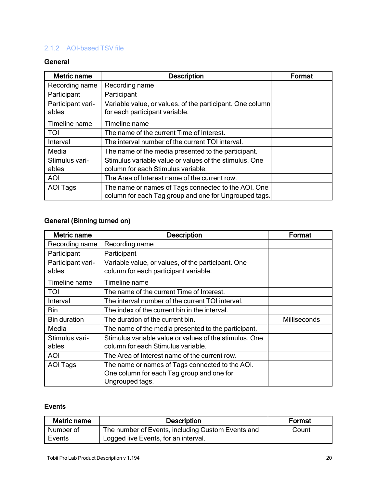#### <span id="page-19-0"></span>2.1.2 AOI-based TSV file

#### **General**

| Metric name                | <b>Description</b>                                                                                           | Format |
|----------------------------|--------------------------------------------------------------------------------------------------------------|--------|
| Recording name             | Recording name                                                                                               |        |
| Participant                | Participant                                                                                                  |        |
| Participant vari-<br>ables | Variable value, or values, of the participant. One column<br>for each participant variable.                  |        |
| Timeline name              | Timeline name                                                                                                |        |
| TOI                        | The name of the current Time of Interest.                                                                    |        |
| Interval                   | The interval number of the current TOI interval.                                                             |        |
| Media                      | The name of the media presented to the participant.                                                          |        |
| Stimulus vari-<br>ables    | Stimulus variable value or values of the stimulus. One<br>column for each Stimulus variable.                 |        |
| <b>AOI</b>                 | The Area of Interest name of the current row.                                                                |        |
| AOI Tags                   | The name or names of Tags connected to the AOI. One<br>column for each Tag group and one for Ungrouped tags. |        |

#### General (Binning turned on)

| Metric name         | <b>Description</b>                                     | Format              |
|---------------------|--------------------------------------------------------|---------------------|
| Recording name      | Recording name                                         |                     |
| Participant         | Participant                                            |                     |
| Participant vari-   | Variable value, or values, of the participant. One     |                     |
| ables               | column for each participant variable.                  |                     |
| Timeline name       | Timeline name                                          |                     |
| TOI                 | The name of the current Time of Interest.              |                     |
| Interval            | The interval number of the current TOI interval.       |                     |
| <b>Bin</b>          | The index of the current bin in the interval.          |                     |
| <b>Bin duration</b> | The duration of the current bin.                       | <b>Milliseconds</b> |
| Media               | The name of the media presented to the participant.    |                     |
| Stimulus vari-      | Stimulus variable value or values of the stimulus. One |                     |
| ables               | column for each Stimulus variable.                     |                     |
| <b>AOI</b>          | The Area of Interest name of the current row.          |                     |
| <b>AOI Tags</b>     | The name or names of Tags connected to the AOI.        |                     |
|                     | One column for each Tag group and one for              |                     |
|                     | Ungrouped tags.                                        |                     |

#### Events

| Metric name | <b>Description</b>                                | Format |
|-------------|---------------------------------------------------|--------|
| Number of   | The number of Events, including Custom Events and | Count  |
| Events      | Logged live Events, for an interval.              |        |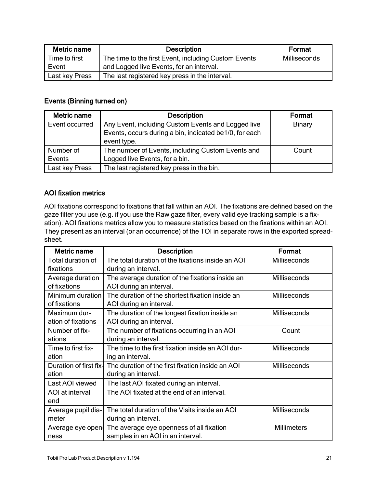| Metric name    | <b>Description</b>                                   | Format       |
|----------------|------------------------------------------------------|--------------|
| Time to first  | The time to the first Event, including Custom Events | Milliseconds |
| Event          | and Logged live Events, for an interval.             |              |
| Last key Press | The last registered key press in the interval.       |              |

#### Events (Binning turned on)

| Metric name    | <b>Description</b>                                     | Format |
|----------------|--------------------------------------------------------|--------|
| Event occurred | Any Event, including Custom Events and Logged live     | Binary |
|                | Events, occurs during a bin, indicated be1/0, for each |        |
|                | event type.                                            |        |
| Number of      | The number of Events, including Custom Events and      | Count  |
| Events         | Logged live Events, for a bin.                         |        |
| Last key Press | The last registered key press in the bin.              |        |

#### AOI fixation metrics

AOI fixations correspond to fixations that fall within an AOI. The fixations are defined based on the gaze filter you use (e.g. if you use the Raw gaze filter, every valid eye tracking sample is a fixation). AOI fixations metrics allow you to measure statistics based on the fixations within an AOI. They present as an interval (or an occurrence) of the TOI in separate rows in the exported spreadsheet.

| Metric name            | <b>Description</b>                                         | Format              |
|------------------------|------------------------------------------------------------|---------------------|
| Total duration of      | The total duration of the fixations inside an AOI          | Milliseconds        |
| fixations              | during an interval.                                        |                     |
| Average duration       | The average duration of the fixations inside an            | Milliseconds        |
| of fixations           | AOI during an interval.                                    |                     |
| Minimum duration       | The duration of the shortest fixation inside an            | Milliseconds        |
| of fixations           | AOI during an interval.                                    |                     |
| Maximum dur-           | The duration of the longest fixation inside an             | Milliseconds        |
| ation of fixations     | AOI during an interval.                                    |                     |
| Number of fix-         | The number of fixations occurring in an AOI                | Count               |
| ations                 | during an interval.                                        |                     |
| Time to first fix-     | The time to the first fixation inside an AOI dur-          | <b>Milliseconds</b> |
| ation                  | ing an interval.                                           |                     |
| Duration of first fix- | The duration of the first fixation inside an AOI           | Milliseconds        |
| ation                  | during an interval.                                        |                     |
| Last AOI viewed        | The last AOI fixated during an interval.                   |                     |
| AOI at interval        | The AOI fixated at the end of an interval.                 |                     |
| end                    |                                                            |                     |
| Average pupil dia-     | The total duration of the Visits inside an AOI             | <b>Milliseconds</b> |
| meter                  | during an interval.                                        |                     |
|                        | Average eye open. The average eye openness of all fixation | <b>Millimeters</b>  |
| ness                   | samples in an AOI in an interval.                          |                     |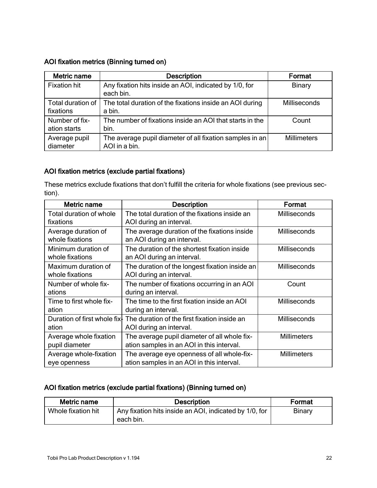#### AOI fixation metrics (Binning turned on)

| Metric name                    | <b>Description</b>                                                        | Format             |
|--------------------------------|---------------------------------------------------------------------------|--------------------|
| <b>Fixation hit</b>            | Any fixation hits inside an AOI, indicated by 1/0, for<br>each bin.       | <b>Binary</b>      |
| Total duration of<br>fixations | The total duration of the fixations inside an AOI during<br>a bin.        | Milliseconds       |
| Number of fix-<br>ation starts | The number of fixations inside an AOI that starts in the<br>bin.          | Count              |
| Average pupil<br>diameter      | The average pupil diameter of all fixation samples in an<br>AOI in a bin. | <b>Millimeters</b> |

#### AOI fixation metrics (exclude partial fixations)

These metrics exclude fixations that don't fulfill the criteria for whole fixations (see previous section).

| Metric name                  | <b>Description</b>                             | Format             |
|------------------------------|------------------------------------------------|--------------------|
| Total duration of whole      | The total duration of the fixations inside an  | Milliseconds       |
| fixations                    | AOI during an interval.                        |                    |
| Average duration of          | The average duration of the fixations inside   | Milliseconds       |
| whole fixations              | an AOI during an interval.                     |                    |
| Minimum duration of          | The duration of the shortest fixation inside   | Milliseconds       |
| whole fixations              | an AOI during an interval.                     |                    |
| Maximum duration of          | The duration of the longest fixation inside an | Milliseconds       |
| whole fixations              | AOI during an interval.                        |                    |
| Number of whole fix-         | The number of fixations occurring in an AOI    | Count              |
| ations                       | during an interval.                            |                    |
| Time to first whole fix-     | The time to the first fixation inside an AOI   | Milliseconds       |
| ation                        | during an interval.                            |                    |
| Duration of first whole fix- | The duration of the first fixation inside an   | Milliseconds       |
| ation                        | AOI during an interval.                        |                    |
| Average whole fixation       | The average pupil diameter of all whole fix-   | <b>Millimeters</b> |
| pupil diameter               | ation samples in an AOI in this interval.      |                    |
| Average whole-fixation       | The average eye openness of all whole-fix-     | <b>Millimeters</b> |
| eye openness                 | ation samples in an AOI in this interval.      |                    |

#### AOI fixation metrics (exclude partial fixations) (Binning turned on)

| Metric name        | <b>Description</b>                                     | Format |
|--------------------|--------------------------------------------------------|--------|
| Whole fixation hit | Any fixation hits inside an AOI, indicated by 1/0, for | Binary |
|                    | `each bin.                                             |        |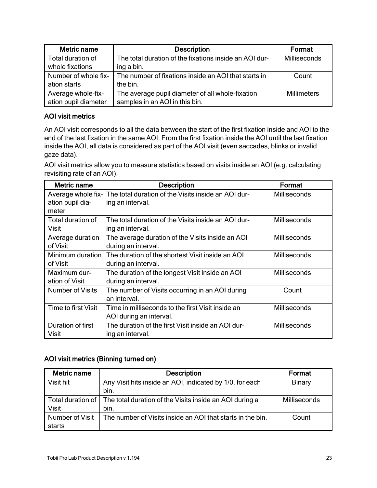| Metric name          | <b>Description</b>                                     | Format              |
|----------------------|--------------------------------------------------------|---------------------|
| Total duration of    | The total duration of the fixations inside an AOI dur- | <b>Milliseconds</b> |
| whole fixations      | ing a bin.                                             |                     |
| Number of whole fix- | The number of fixations inside an AOI that starts in   | Count               |
| ation starts         | the bin.                                               |                     |
| Average whole-fix-   | The average pupil diameter of all whole-fixation       | <b>Millimeters</b>  |
| ation pupil diameter | samples in an AOI in this bin.                         |                     |

#### AOI visit metrics

An AOI visit corresponds to all the data between the start of the first fixation inside and AOI to the end of the last fixation in the same AOI. From the first fixation inside the AOI until the last fixation inside the AOI, all data is considered as part of the AOI visit (even saccades, blinks or invalid gaze data).

AOI visit metrics allow you to measure statistics based on visits inside an AOI (e.g. calculating revisiting rate of an AOI).

| Metric name         | <b>Description</b>                                  | Format              |
|---------------------|-----------------------------------------------------|---------------------|
| Average whole fix-  | The total duration of the Visits inside an AOI dur- | Milliseconds        |
| ation pupil dia-    | ing an interval.                                    |                     |
| meter               |                                                     |                     |
| Total duration of   | The total duration of the Visits inside an AOI dur- | <b>Milliseconds</b> |
| Visit               | ing an interval.                                    |                     |
| Average duration    | The average duration of the Visits inside an AOI    | <b>Milliseconds</b> |
| of Visit            | during an interval.                                 |                     |
| Minimum duration    | The duration of the shortest Visit inside an AOI    | Milliseconds        |
| of Visit            | during an interval.                                 |                     |
| Maximum dur-        | The duration of the longest Visit inside an AOI     | <b>Milliseconds</b> |
| ation of Visit      | during an interval.                                 |                     |
| Number of Visits    | The number of Visits occurring in an AOI during     | Count               |
|                     | an interval.                                        |                     |
| Time to first Visit | Time in milliseconds to the first Visit inside an   | <b>Milliseconds</b> |
|                     | AOI during an interval.                             |                     |
| Duration of first   | The duration of the first Visit inside an AOI dur-  | Milliseconds        |
| Visit               | ing an interval.                                    |                     |

#### AOI visit metrics (Binning turned on)

| Metric name     | <b>Description</b>                                                          | Format       |
|-----------------|-----------------------------------------------------------------------------|--------------|
| Visit hit       | Any Visit hits inside an AOI, indicated by 1/0, for each                    | Binary       |
|                 | bin.                                                                        |              |
|                 | Total duration of   The total duration of the Visits inside an AOI during a | Milliseconds |
| <b>Visit</b>    | bin.                                                                        |              |
| Number of Visit | The number of Visits inside an AOI that starts in the bin.                  | Count        |
| starts          |                                                                             |              |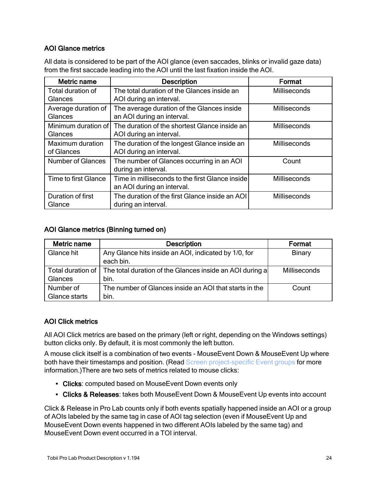#### AOI Glance metrics

All data is considered to be part of the AOI glance (even saccades, blinks or invalid gaze data) from the first saccade leading into the AOI until the last fixation inside the AOI.

| Metric name              | <b>Description</b>                              | Format              |
|--------------------------|-------------------------------------------------|---------------------|
| Total duration of        | The total duration of the Glances inside an     | <b>Milliseconds</b> |
| Glances                  | AOI during an interval.                         |                     |
| Average duration of      | The average duration of the Glances inside      | <b>Milliseconds</b> |
| Glances                  | an AOI during an interval.                      |                     |
| Minimum duration of      | The duration of the shortest Glance inside an   | <b>Milliseconds</b> |
| Glances                  | AOI during an interval.                         |                     |
| Maximum duration         | The duration of the longest Glance inside an    | <b>Milliseconds</b> |
| of Glances               | AOI during an interval.                         |                     |
| <b>Number of Glances</b> | The number of Glances occurring in an AOI       | Count               |
|                          | during an interval.                             |                     |
| Time to first Glance     | Time in milliseconds to the first Glance inside | Milliseconds        |
|                          | an AOI during an interval.                      |                     |
| Duration of first        | The duration of the first Glance inside an AOI  | Milliseconds        |
| Glance                   | during an interval.                             |                     |

#### AOI Glance metrics (Binning turned on)

| Metric name       | <b>Description</b>                                                | Format       |
|-------------------|-------------------------------------------------------------------|--------------|
| Glance hit        | Any Glance hits inside an AOI, indicated by 1/0, for<br>each bin. | Binary       |
| Total duration of | The total duration of the Glances inside an AOI during a          | Milliseconds |
| Glances           | bin.                                                              |              |
| Number of         | The number of Glances inside an AOI that starts in the            | Count        |
| Glance starts     | bin.                                                              |              |

#### AOI Click metrics

All AOI Click metrics are based on the primary (left or right, depending on the Windows settings) button clicks only. By default, it is most commonly the left button.

A mouse click itself is a combination of two events - MouseEvent Down & MouseEvent Up where both have their timestamps and position. (Read Screen [project-specific](../../../../../../Content/Pro Lab/Pro Lab_UserManual/Replay tools.htm#MouseEvents) Event groups for more information.)There are two sets of metrics related to mouse clicks:

- Clicks: computed based on MouseEvent Down events only
- Clicks & Releases: takes both MouseEvent Down & MouseEvent Up events into account

Click & Release in Pro Lab counts only if both events spatially happened inside an AOI or a group of AOIs labeled by the same tag in case of AOI tag selection (even if MouseEvent Up and MouseEvent Down events happened in two different AOIs labeled by the same tag) and MouseEvent Down event occurred in a TOI interval.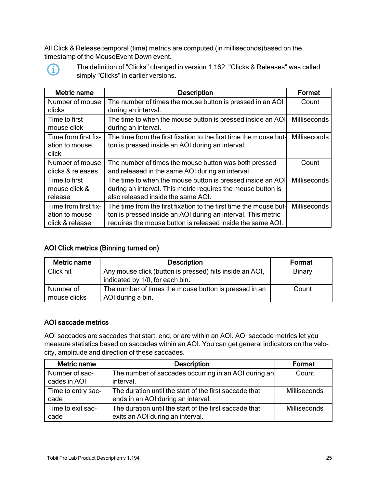All Click & Release temporal (time) metrics are computed (in milliseconds)based on the timestamp of the MouseEvent Down event.



The definition of "Clicks" changed in version 1.162. "Clicks & Releases" was called simply "Clicks" in earlier versions.

| Metric name          | <b>Description</b>                                                | Format              |
|----------------------|-------------------------------------------------------------------|---------------------|
| Number of mouse      | The number of times the mouse button is pressed in an AOI         | Count               |
| clicks               | during an interval.                                               |                     |
| Time to first        | The time to when the mouse button is pressed inside an AOI        | <b>Milliseconds</b> |
| mouse click          | during an interval.                                               |                     |
| Time from first fix- | The time from the first fixation to the first time the mouse but- | Milliseconds        |
| ation to mouse       | ton is pressed inside an AOI during an interval.                  |                     |
| click                |                                                                   |                     |
| Number of mouse      | The number of times the mouse button was both pressed             | Count               |
| clicks & releases    | and released in the same AOI during an interval.                  |                     |
| Time to first        | The time to when the mouse button is pressed inside an AOI        | <b>Milliseconds</b> |
| mouse click &        | during an interval. This metric requires the mouse button is      |                     |
| release              | also released inside the same AOI.                                |                     |
| Time from first fix- | The time from the first fixation to the first time the mouse but- | <b>Milliseconds</b> |
| ation to mouse       | ton is pressed inside an AOI during an interval. This metric      |                     |
| click & release      | requires the mouse button is released inside the same AOI.        |                     |

#### AOI Click metrics (Binning turned on)

| Metric name               | <b>Description</b>                                                                         | Format        |
|---------------------------|--------------------------------------------------------------------------------------------|---------------|
| Click hit                 | Any mouse click (button is pressed) hits inside an AOI,<br>indicated by 1/0, for each bin. | <b>Binary</b> |
| Number of<br>mouse clicks | The number of times the mouse button is pressed in an<br>AOI during a bin.                 | Count         |

#### AOI saccade metrics

AOI saccades are saccades that start, end, or are within an AOI. AOI saccade metrics let you measure statistics based on saccades within an AOI. You can get general indicators on the velocity, amplitude and direction of these saccades.

| Metric name        | <b>Description</b>                                     | Format              |
|--------------------|--------------------------------------------------------|---------------------|
| Number of sac-     | The number of saccades occurring in an AOI during an   | Count               |
| cades in AOI       | interval.                                              |                     |
| Time to entry sac- | The duration until the start of the first saccade that | <b>Milliseconds</b> |
| cade               | ends in an AOI during an interval.                     |                     |
| Time to exit sac-  | The duration until the start of the first saccade that | <b>Milliseconds</b> |
| cade               | exits an AOI during an interval.                       |                     |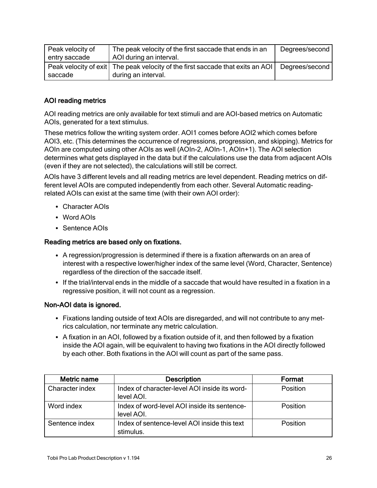| Peak velocity of | The peak velocity of the first saccade that ends in an                           | Degrees/second |
|------------------|----------------------------------------------------------------------------------|----------------|
| entry saccade    | AOI during an interval.                                                          |                |
|                  | Peak velocity of exit   The peak velocity of the first saccade that exits an AOI | Degrees/second |
| saccade          | during an interval.                                                              |                |

#### AOI reading metrics

AOI reading metrics are only available for text stimuli and are AOI-based metrics on Automatic AOIs, generated for a text stimulus.

These metrics follow the writing system order. AOI1 comes before AOI2 which comes before AOI3, etc. (This determines the occurrence of regressions, progression, and skipping). Metrics for AOIn are computed using other AOIs as well (AOIn-2, AOIn-1, AOIn+1). The AOI selection determines what gets displayed in the data but if the calculations use the data from adjacent AOIs (even if they are not selected), the calculations will still be correct.

AOIs have 3 different levels and all reading metrics are level dependent. Reading metrics on different level AOIs are computed independently from each other. Several Automatic readingrelated AOIs can exist at the same time (with their own AOI order):

- Character AOIs
- Word AOIs
- Sentence AOIs

#### Reading metrics are based only on fixations.

- A regression/progression is determined if there is a fixation afterwards on an area of interest with a respective lower/higher index of the same level (Word, Character, Sentence) regardless of the direction of the saccade itself.
- If the trial/interval ends in the middle of a saccade that would have resulted in a fixation in a regressive position, it will not count as a regression.

#### Non-AOI data is ignored.

- Fixations landing outside of text AOIs are disregarded, and will not contribute to any metrics calculation, nor terminate any metric calculation.
- A fixation in an AOI, followed by a fixation outside of it, and then followed by a fixation inside the AOI again, will be equivalent to having two fixations in the AOI directly followed by each other. Both fixations in the AOI will count as part of the same pass.

| Metric name     | <b>Description</b>                                          | Format   |
|-----------------|-------------------------------------------------------------|----------|
| Character index | Index of character-level AOI inside its word-<br>level AOI. | Position |
| Word index      | Index of word-level AOI inside its sentence-<br>level AOI.  | Position |
| Sentence index  | Index of sentence-level AOI inside this text<br>stimulus.   | Position |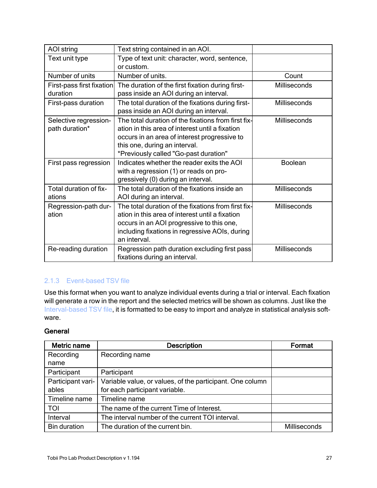| <b>AOI</b> string                       | Text string contained in an AOI.                                                                       |              |
|-----------------------------------------|--------------------------------------------------------------------------------------------------------|--------------|
| Text unit type                          | Type of text unit: character, word, sentence,                                                          |              |
|                                         | or custom.                                                                                             |              |
| Number of units                         | Number of units.                                                                                       | Count        |
| First-pass first fixation               | The duration of the first fixation during first-                                                       | Milliseconds |
| duration                                | pass inside an AOI during an interval.                                                                 |              |
| First-pass duration                     | The total duration of the fixations during first-                                                      | Milliseconds |
|                                         | pass inside an AOI during an interval.                                                                 |              |
| Selective regression-<br>path duration* | The total duration of the fixations from first fix-<br>ation in this area of interest until a fixation | Milliseconds |
|                                         | occurs in an area of interest progressive to                                                           |              |
|                                         | this one, during an interval.                                                                          |              |
|                                         | *Previously called "Go-past duration"                                                                  |              |
| First pass regression                   | Indicates whether the reader exits the AOI                                                             | Boolean      |
|                                         | with a regression (1) or reads on pro-                                                                 |              |
|                                         | gressively (0) during an interval.                                                                     |              |
| Total duration of fix-                  | The total duration of the fixations inside an                                                          | Milliseconds |
| ations                                  | AOI during an interval.                                                                                |              |
| Regression-path dur-                    | The total duration of the fixations from first fix-                                                    | Milliseconds |
| ation                                   | ation in this area of interest until a fixation                                                        |              |
|                                         | occurs in an AOI progressive to this one,                                                              |              |
|                                         | including fixations in regressive AOIs, during                                                         |              |
|                                         | an interval.                                                                                           |              |
| Re-reading duration                     | Regression path duration excluding first pass                                                          | Milliseconds |
|                                         | fixations during an interval.                                                                          |              |

#### <span id="page-26-0"></span>2.1.3 Event-based TSV file

Use this format when you want to analyze individual events during a trial or interval. Each fixation will generate a row in the report and the selected metrics will be shown as columns. Just like the [Interval-based](#page-9-0) TSV file, it is formatted to be easy to import and analyze in statistical analysis software.

#### **General**

| Metric name         | <b>Description</b>                                        | Format       |
|---------------------|-----------------------------------------------------------|--------------|
| Recording           | Recording name                                            |              |
| name                |                                                           |              |
| Participant         | Participant                                               |              |
| Participant vari-   | Variable value, or values, of the participant. One column |              |
| ables               | for each participant variable.                            |              |
| Timeline name       | Timeline name                                             |              |
| <b>TOI</b>          | The name of the current Time of Interest.                 |              |
| Interval            | The interval number of the current TOI interval.          |              |
| <b>Bin duration</b> | The duration of the current bin.                          | Milliseconds |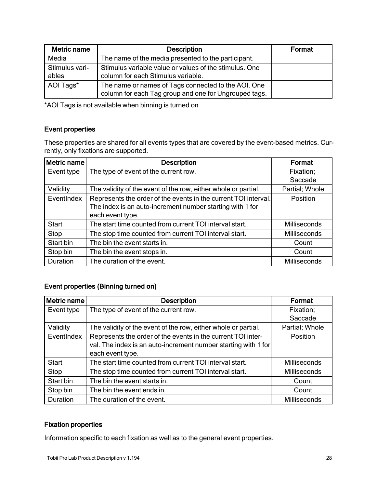| Metric name             | <b>Description</b>                                                                                           | Format |
|-------------------------|--------------------------------------------------------------------------------------------------------------|--------|
| Media                   | The name of the media presented to the participant.                                                          |        |
| Stimulus vari-<br>ables | Stimulus variable value or values of the stimulus. One<br>column for each Stimulus variable.                 |        |
| AOI Tags*               | The name or names of Tags connected to the AOI. One<br>column for each Tag group and one for Ungrouped tags. |        |

\*AOI Tags is not available when binning is turned on

#### Event properties

These properties are shared for all events types that are covered by the event-based metrics. Currently, only fixations are supported.

| Metric name  | <b>Description</b>                                              | Format         |
|--------------|-----------------------------------------------------------------|----------------|
| Event type   | The type of event of the current row.                           | Fixation;      |
|              |                                                                 | Saccade        |
| Validity     | The validity of the event of the row, either whole or partial.  | Partial; Whole |
| EventIndex   | Represents the order of the events in the current TOI interval. | Position       |
|              | The index is an auto-increment number starting with 1 for       |                |
|              | each event type.                                                |                |
| <b>Start</b> | The start time counted from current TOI interval start.         | Milliseconds   |
| Stop         | The stop time counted from current TOI interval start.          | Milliseconds   |
| Start bin    | The bin the event starts in.                                    | Count          |
| Stop bin     | The bin the event stops in.                                     | Count          |
| Duration     | The duration of the event.                                      | Milliseconds   |

#### Event properties (Binning turned on)

| Metric name | <b>Description</b>                                             | Format         |
|-------------|----------------------------------------------------------------|----------------|
| Event type  | The type of event of the current row.                          | Fixation;      |
|             |                                                                | Saccade        |
| Validity    | The validity of the event of the row, either whole or partial. | Partial; Whole |
| EventIndex  | Represents the order of the events in the current TOI inter-   | Position       |
|             | val. The index is an auto-increment number starting with 1 for |                |
|             | each event type.                                               |                |
| Start       | The start time counted from current TOI interval start.        | Milliseconds   |
| Stop        | The stop time counted from current TOI interval start.         | Milliseconds   |
| Start bin   | The bin the event starts in.                                   | Count          |
| Stop bin    | The bin the event ends in.                                     | Count          |
| Duration    | The duration of the event.                                     | Milliseconds   |

#### Fixation properties

Information specific to each fixation as well as to the general event properties.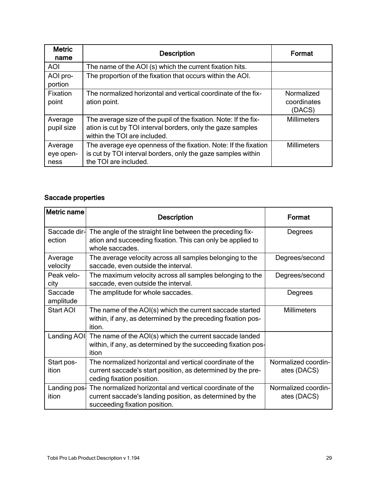| <b>Metric</b><br>name        | <b>Description</b>                                                                                                                                              | Format                              |
|------------------------------|-----------------------------------------------------------------------------------------------------------------------------------------------------------------|-------------------------------------|
| AOI                          | The name of the AOI (s) which the current fixation hits.                                                                                                        |                                     |
| AOI pro-<br>portion          | The proportion of the fixation that occurs within the AOI.                                                                                                      |                                     |
| Fixation<br>point            | The normalized horizontal and vertical coordinate of the fix-<br>ation point.                                                                                   | Normalized<br>coordinates<br>(DACS) |
| Average<br>pupil size        | The average size of the pupil of the fixation. Note: If the fix-<br>ation is cut by TOI interval borders, only the gaze samples<br>within the TOI are included. | <b>Millimeters</b>                  |
| Average<br>eye open-<br>ness | The average eye openness of the fixation. Note: If the fixation<br>is cut by TOI interval borders, only the gaze samples within<br>the TOI are included.        | <b>Millimeters</b>                  |

#### Saccade properties

| Metric name             | <b>Description</b>                                                                                                                                    | Format                             |
|-------------------------|-------------------------------------------------------------------------------------------------------------------------------------------------------|------------------------------------|
| Saccade dir-<br>ection  | The angle of the straight line between the preceding fix-<br>ation and succeeding fixation. This can only be applied to<br>whole saccades.            | Degrees                            |
| Average<br>velocity     | The average velocity across all samples belonging to the<br>saccade, even outside the interval.                                                       | Degrees/second                     |
| Peak velo-<br>city      | The maximum velocity across all samples belonging to the<br>saccade, even outside the interval.                                                       | Degrees/second                     |
| Saccade<br>amplitude    | The amplitude for whole saccades.                                                                                                                     | Degrees                            |
| Start AOI               | The name of the AOI(s) which the current saccade started<br>within, if any, as determined by the preceding fixation pos-<br>ition.                    | <b>Millimeters</b>                 |
| Landing AOI             | The name of the AOI(s) which the current saccade landed<br>within, if any, as determined by the succeeding fixation pos-<br>ition                     |                                    |
| Start pos-<br>ition     | The normalized horizontal and vertical coordinate of the<br>current saccade's start position, as determined by the pre-<br>ceding fixation position.  | Normalized coordin-<br>ates (DACS) |
| Landing $pos1$<br>ition | The normalized horizontal and vertical coordinate of the<br>current saccade's landing position, as determined by the<br>succeeding fixation position. | Normalized coordin-<br>ates (DACS) |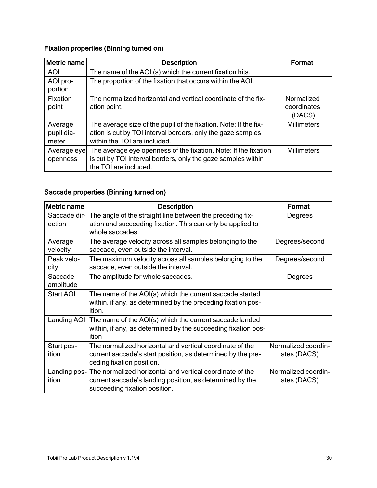## Fixation properties (Binning turned on)

| Metric name                    | <b>Description</b>                                                                                                                                              | Format                              |
|--------------------------------|-----------------------------------------------------------------------------------------------------------------------------------------------------------------|-------------------------------------|
| <b>AOI</b>                     | The name of the AOI (s) which the current fixation hits.                                                                                                        |                                     |
| AOI pro-<br>portion            | The proportion of the fixation that occurs within the AOI.                                                                                                      |                                     |
| Fixation<br>point              | The normalized horizontal and vertical coordinate of the fix-<br>ation point.                                                                                   | Normalized<br>coordinates<br>(DACS) |
| Average<br>pupil dia-<br>meter | The average size of the pupil of the fixation. Note: If the fix-<br>ation is cut by TOI interval borders, only the gaze samples<br>within the TOI are included. | <b>Millimeters</b>                  |
| Average eye<br>openness        | The average eye openness of the fixation. Note: If the fixation<br>is cut by TOI interval borders, only the gaze samples within<br>the TOI are included.        | <b>Millimeters</b>                  |

## Saccade properties (Binning turned on)

| Metric name            | <b>Description</b>                                                                                                                                                 | Format                             |
|------------------------|--------------------------------------------------------------------------------------------------------------------------------------------------------------------|------------------------------------|
| Saccade dir-<br>ection | The angle of the straight line between the preceding fix-<br>ation and succeeding fixation. This can only be applied to<br>whole saccades.                         | Degrees                            |
| Average<br>velocity    | The average velocity across all samples belonging to the<br>saccade, even outside the interval.                                                                    | Degrees/second                     |
| Peak velo-<br>city     | The maximum velocity across all samples belonging to the<br>saccade, even outside the interval.                                                                    | Degrees/second                     |
| Saccade<br>amplitude   | The amplitude for whole saccades.                                                                                                                                  | Degrees                            |
| Start AOI              | The name of the AOI(s) which the current saccade started<br>within, if any, as determined by the preceding fixation pos-<br>ition.                                 |                                    |
| Landing AOI            | The name of the AOI(s) which the current saccade landed<br>within, if any, as determined by the succeeding fixation pos-<br>ition                                  |                                    |
| Start pos-<br>ition    | The normalized horizontal and vertical coordinate of the<br>current saccade's start position, as determined by the pre-<br>ceding fixation position.               | Normalized coordin-<br>ates (DACS) |
| ition                  | Landing pos- The normalized horizontal and vertical coordinate of the<br>current saccade's landing position, as determined by the<br>succeeding fixation position. | Normalized coordin-<br>ates (DACS) |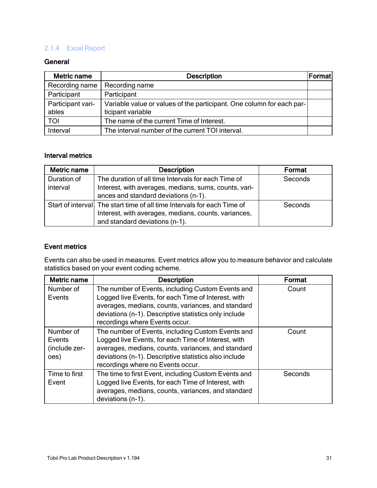#### <span id="page-30-0"></span>2.1.4 Excel Report

#### **General**

| Metric name       | <b>Description</b>                                                    | Format |
|-------------------|-----------------------------------------------------------------------|--------|
| Recording name    | Recording name                                                        |        |
| Participant       | Participant                                                           |        |
| Participant vari- | Variable value or values of the participant. One column for each par- |        |
| ables             | ticipant variable                                                     |        |
| TOI               | The name of the current Time of Interest.                             |        |
| Interval          | The interval number of the current TOI interval.                      |        |

#### Interval metrics

| Metric name | <b>Description</b>                                                      | Format  |
|-------------|-------------------------------------------------------------------------|---------|
| Duration of | The duration of all time Intervals for each Time of                     | Seconds |
| interval    | Interest, with averages, medians, sums, counts, vari-                   |         |
|             | ances and standard deviations (n-1).                                    |         |
|             | Start of interval The start time of all time Intervals for each Time of | Seconds |
|             | Interest, with averages, medians, counts, variances,                    |         |
|             | and standard deviations (n-1).                                          |         |

#### Event metrics

Events can also be used in measures. Event metrics allow you to measure behavior and calculate statistics based on your event coding scheme.

| Metric name                                  | <b>Description</b>                                                                                                                                                                                                                                           | Format  |
|----------------------------------------------|--------------------------------------------------------------------------------------------------------------------------------------------------------------------------------------------------------------------------------------------------------------|---------|
| Number of<br>Events                          | The number of Events, including Custom Events and<br>Logged live Events, for each Time of Interest, with<br>averages, medians, counts, variances, and standard<br>deviations (n-1). Descriptive statistics only include<br>recordings where Events occur.    | Count   |
| Number of<br>Events<br>(include zer-<br>oes) | The number of Events, including Custom Events and<br>Logged live Events, for each Time of Interest, with<br>averages, medians, counts, variances, and standard<br>deviations (n-1). Descriptive statistics also include<br>recordings where no Events occur. | Count   |
| Time to first<br>Event                       | The time to first Event, including Custom Events and<br>Logged live Events, for each Time of Interest, with<br>averages, medians, counts, variances, and standard<br>deviations (n-1).                                                                       | Seconds |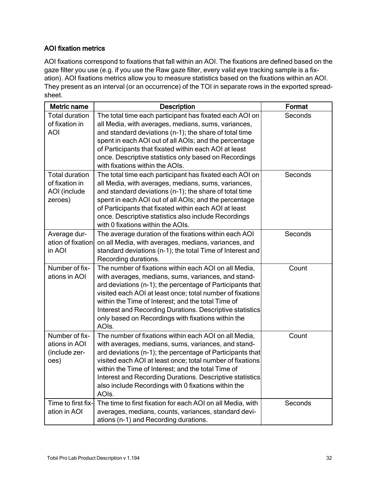#### AOI fixation metrics

AOI fixations correspond to fixations that fall within an AOI. The fixations are defined based on the gaze filter you use (e.g. if you use the Raw gaze filter, every valid eye tracking sample is a fixation). AOI fixations metrics allow you to measure statistics based on the fixations within an AOI. They present as an interval (or an occurrence) of the TOI in separate rows in the exported spreadsheet.

| Metric name                                                        | <b>Description</b>                                                                                                                                                                                                                                                                                                                                                                                                       | Format  |
|--------------------------------------------------------------------|--------------------------------------------------------------------------------------------------------------------------------------------------------------------------------------------------------------------------------------------------------------------------------------------------------------------------------------------------------------------------------------------------------------------------|---------|
| <b>Total duration</b><br>of fixation in<br><b>AOI</b>              | The total time each participant has fixated each AOI on<br>all Media, with averages, medians, sums, variances,<br>and standard deviations (n-1); the share of total time<br>spent in each AOI out of all AOIs; and the percentage<br>of Participants that fixated within each AOI at least<br>once. Descriptive statistics only based on Recordings<br>with fixations within the AOIs.                                   | Seconds |
| <b>Total duration</b><br>of fixation in<br>AOI (include<br>zeroes) | The total time each participant has fixated each AOI on<br>all Media, with averages, medians, sums, variances,<br>and standard deviations (n-1); the share of total time<br>spent in each AOI out of all AOIs; and the percentage<br>of Participants that fixated within each AOI at least<br>once. Descriptive statistics also include Recordings<br>with 0 fixations within the AOIs.                                  | Seconds |
| Average dur-<br>ation of fixation<br>in AOI                        | The average duration of the fixations within each AOI<br>on all Media, with averages, medians, variances, and<br>standard deviations (n-1); the total Time of Interest and<br>Recording durations.                                                                                                                                                                                                                       | Seconds |
| Number of fix-<br>ations in AOI                                    | The number of fixations within each AOI on all Media,<br>with averages, medians, sums, variances, and stand-<br>ard deviations (n-1); the percentage of Participants that<br>visited each AOI at least once; total number of fixations<br>within the Time of Interest; and the total Time of<br>Interest and Recording Durations. Descriptive statistics<br>only based on Recordings with fixations within the<br>AOIs.  | Count   |
| Number of fix-<br>ations in AOI<br>(include zer-<br>oes)           | The number of fixations within each AOI on all Media,<br>with averages, medians, sums, variances, and stand-<br>ard deviations (n-1); the percentage of Participants that<br>visited each AOI at least once; total number of fixations<br>within the Time of Interest; and the total Time of<br>Interest and Recording Durations. Descriptive statistics<br>also include Recordings with 0 fixations within the<br>AOIs. | Count   |
| Time to first fix-<br>ation in AOI                                 | The time to first fixation for each AOI on all Media, with<br>averages, medians, counts, variances, standard devi-<br>ations (n-1) and Recording durations.                                                                                                                                                                                                                                                              | Seconds |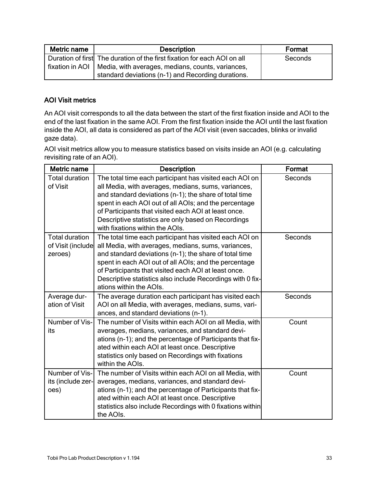| Metric name<br><b>Description</b>                                   |                                                                          | Format  |
|---------------------------------------------------------------------|--------------------------------------------------------------------------|---------|
|                                                                     | Duration of first The duration of the first fixation for each AOI on all | Seconds |
| fixation in AOI   Media, with averages, medians, counts, variances, |                                                                          |         |
|                                                                     | standard deviations (n-1) and Recording durations.                       |         |

#### AOI Visit metrics

An AOI visit corresponds to all the data between the start of the first fixation inside and AOI to the end of the last fixation in the same AOI. From the first fixation inside the AOI until the last fixation inside the AOI, all data is considered as part of the AOI visit (even saccades, blinks or invalid gaze data).

AOI visit metrics allow you to measure statistics based on visits inside an AOI (e.g. calculating revisiting rate of an AOI).

| <b>Metric name</b>                                    | <b>Description</b>                                                                                                                                                                                                                                                                                                                                                                  | Format  |
|-------------------------------------------------------|-------------------------------------------------------------------------------------------------------------------------------------------------------------------------------------------------------------------------------------------------------------------------------------------------------------------------------------------------------------------------------------|---------|
| <b>Total duration</b><br>of Visit                     | The total time each participant has visited each AOI on<br>all Media, with averages, medians, sums, variances,<br>and standard deviations (n-1); the share of total time<br>spent in each AOI out of all AOIs; and the percentage<br>of Participants that visited each AOI at least once.<br>Descriptive statistics are only based on Recordings<br>with fixations within the AOIs. | Seconds |
| <b>Total duration</b><br>of Visit (include<br>zeroes) | The total time each participant has visited each AOI on<br>all Media, with averages, medians, sums, variances,<br>and standard deviations (n-1); the share of total time<br>spent in each AOI out of all AOIs; and the percentage<br>of Participants that visited each AOI at least once.<br>Descriptive statistics also include Recordings with 0 fix-<br>ations within the AOIs.  | Seconds |
| Average dur-<br>ation of Visit                        | The average duration each participant has visited each<br>AOI on all Media, with averages, medians, sums, vari-<br>ances, and standard deviations (n-1).                                                                                                                                                                                                                            | Seconds |
| Number of Vis-<br>its                                 | The number of Visits within each AOI on all Media, with<br>averages, medians, variances, and standard devi-<br>ations (n-1); and the percentage of Participants that fix-<br>ated within each AOI at least once. Descriptive<br>statistics only based on Recordings with fixations<br>within the AOIs.                                                                              | Count   |
| Number of Vis-<br>its (include zer-<br>oes)           | The number of Visits within each AOI on all Media, with<br>averages, medians, variances, and standard devi-<br>ations (n-1); and the percentage of Participants that fix-<br>ated within each AOI at least once. Descriptive<br>statistics also include Recordings with 0 fixations within<br>the AOIs.                                                                             | Count   |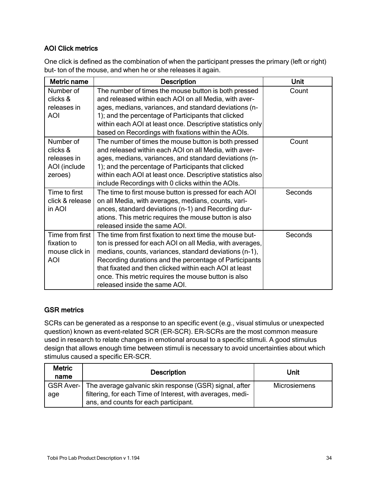#### AOI Click metrics

One click is defined as the combination of when the participant presses the primary (left or right) but- ton of the mouse, and when he or she releases it again.

| Metric name     | <b>Description</b>                                         | Unit    |
|-----------------|------------------------------------------------------------|---------|
| Number of       | The number of times the mouse button is both pressed       | Count   |
| clicks &        | and released within each AOI on all Media, with aver-      |         |
| releases in     | ages, medians, variances, and standard deviations (n-      |         |
| <b>AOI</b>      | 1); and the percentage of Participants that clicked        |         |
|                 | within each AOI at least once. Descriptive statistics only |         |
|                 | based on Recordings with fixations within the AOIs.        |         |
| Number of       | The number of times the mouse button is both pressed       | Count   |
| clicks &        | and released within each AOI on all Media, with aver-      |         |
| releases in     | ages, medians, variances, and standard deviations (n-      |         |
| AOI (include    | 1); and the percentage of Participants that clicked        |         |
| zeroes)         | within each AOI at least once. Descriptive statistics also |         |
|                 | include Recordings with 0 clicks within the AOIs.          |         |
| Time to first   | The time to first mouse button is pressed for each AOI     | Seconds |
| click & release | on all Media, with averages, medians, counts, vari-        |         |
| in AOI          | ances, standard deviations (n-1) and Recording dur-        |         |
|                 | ations. This metric requires the mouse button is also      |         |
|                 | released inside the same AOI.                              |         |
| Time from first | The time from first fixation to next time the mouse but-   | Seconds |
| fixation to     | ton is pressed for each AOI on all Media, with averages,   |         |
| mouse click in  | medians, counts, variances, standard deviations (n-1),     |         |
| <b>AOI</b>      | Recording durations and the percentage of Participants     |         |
|                 | that fixated and then clicked within each AOI at least     |         |
|                 | once. This metric requires the mouse button is also        |         |
|                 | released inside the same AOI.                              |         |

#### GSR metrics

SCRs can be generated as a response to an specific event (e.g., visual stimulus or unexpected question) known as event-related SCR (ER-SCR). ER-SCRs are the most common measure used in research to relate changes in emotional arousal to a specific stimuli. A good stimulus design that allows enough time between stimuli is necessary to avoid uncertainties about which stimulus caused a specific ER-SCR.

| <b>Metric</b><br>name | <b>Description</b>                                                 | Unit                |
|-----------------------|--------------------------------------------------------------------|---------------------|
|                       | GSR Aver-   The average galvanic skin response (GSR) signal, after | <b>Microsiemens</b> |
| age                   | filtering, for each Time of Interest, with averages, medi-         |                     |
|                       | ans, and counts for each participant.                              |                     |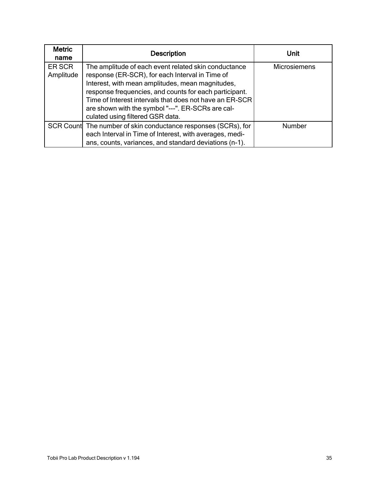| <b>Metric</b><br>name | <b>Description</b>                                                                                                                                                                                                                                                                                                                                                        | Unit                |
|-----------------------|---------------------------------------------------------------------------------------------------------------------------------------------------------------------------------------------------------------------------------------------------------------------------------------------------------------------------------------------------------------------------|---------------------|
| ER SCR<br>Amplitude   | The amplitude of each event related skin conductance<br>response (ER-SCR), for each Interval in Time of<br>Interest, with mean amplitudes, mean magnitudes,<br>response frequencies, and counts for each participant.<br>Time of Interest intervals that does not have an ER-SCR<br>are shown with the symbol "---". ER-SCRs are cal-<br>culated using filtered GSR data. | <b>Microsiemens</b> |
|                       | SCR Count The number of skin conductance responses (SCRs), for<br>each Interval in Time of Interest, with averages, medi-<br>ans, counts, variances, and standard deviations (n-1).                                                                                                                                                                                       | Number              |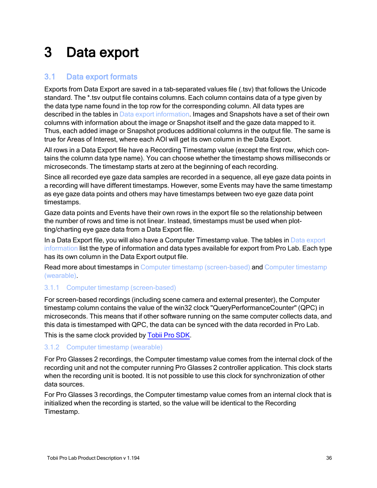# <span id="page-35-0"></span>3 Data export

#### <span id="page-35-1"></span>3.1 Data export formats

Exports from Data Export are saved in a tab-separated values file (.tsv) that follows the Unicode standard. The \*.tsv output file contains columns. Each column contains data of a type given by the data type name found in the top row for the corresponding column. All data types are described in the tables in Data export [information.](#page-36-0) Images and Snapshots have a set of their own columns with information about the image or Snapshot itself and the gaze data mapped to it. Thus, each added image or Snapshot produces additional columns in the output file. The same is true for Areas of Interest, where each AOI will get its own column in the Data Export.

All rows in a Data Export file have a Recording Timestamp value (except the first row, which contains the column data type name). You can choose whether the timestamp shows milliseconds or microseconds. The timestamp starts at zero at the beginning of each recording.

Since all recorded eye gaze data samples are recorded in a sequence, all eye gaze data points in a recording will have different timestamps. However, some Events may have the same timestamp as eye gaze data points and others may have timestamps between two eye gaze data point timestamps.

Gaze data points and Events have their own rows in the export file so the relationship between the number of rows and time is not linear. Instead, timestamps must be used when plotting/charting eye gaze data from a Data Export file.

In a Data Export file, you will also have a Computer Timestamp value. The tables in Data [export](#page-36-0) [information](#page-36-0) list the type of information and data types available for export from Pro Lab. Each type has its own column in the Data Export output file.

Read more about timestamps in Computer timestamp [\(screen-based\)](#page-35-2) and Computer [timestamp](#page-35-3) [\(wearable\)](#page-35-3).

#### <span id="page-35-2"></span>3.1.1 Computer timestamp (screen-based)

For screen-based recordings (including scene camera and external presenter), the Computer timestamp column contains the value of the win32 clock "QueryPerformanceCounter" (QPC) in microseconds. This means that if other software running on the same computer collects data, and this data is timestamped with QPC, the data can be synced with the data recorded in Pro Lab.

<span id="page-35-3"></span>This is the same clock provided by [Tobii](https://www.tobiipro.com/product-listing/tobii-pro-sdk/) Pro SDK.

#### 3.1.2 Computer timestamp (wearable)

For Pro Glasses 2 recordings, the Computer timestamp value comes from the internal clock of the recording unit and not the computer running Pro Glasses 2 controller application. This clock starts when the recording unit is booted. It is not possible to use this clock for synchronization of other data sources.

For Pro Glasses 3 recordings, the Computer timestamp value comes from an internal clock that is initialized when the recording is started, so the value will be identical to the Recording Timestamp.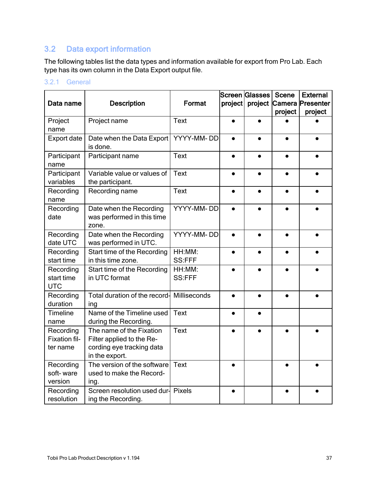## <span id="page-36-0"></span>3.2 Data export information

The following tables list the data types and information available for export from Pro Lab. Each type has its own column in the Data Export output file.

#### <span id="page-36-1"></span>3.2.1 General

|                                        |                                                                                                      |                         |           | Screen Glasses | <b>Scene</b> | <b>External</b>          |
|----------------------------------------|------------------------------------------------------------------------------------------------------|-------------------------|-----------|----------------|--------------|--------------------------|
| Data name                              | <b>Description</b>                                                                                   | Format                  | project   |                |              | project Camera Presenter |
|                                        |                                                                                                      |                         |           |                | project      | project                  |
| Project                                | Project name                                                                                         | <b>Text</b>             |           |                |              |                          |
| name                                   |                                                                                                      |                         |           |                |              |                          |
| <b>Export date</b>                     | Date when the Data Export<br>is done.                                                                | YYYY-MM-DD              | $\bullet$ |                |              |                          |
| Participant<br>name                    | Participant name                                                                                     | <b>Text</b>             |           |                |              |                          |
| Participant<br>variables               | Variable value or values of<br>the participant.                                                      | <b>Text</b>             |           |                |              |                          |
| Recording<br>name                      | Recording name                                                                                       | <b>Text</b>             |           |                |              |                          |
| Recording<br>date                      | Date when the Recording<br>was performed in this time<br>zone.                                       | YYYY-MM-DD              | $\bullet$ |                |              |                          |
| Recording<br>date UTC                  | Date when the Recording<br>was performed in UTC.                                                     | YYYY-MM-DD              | $\bullet$ |                |              |                          |
| Recording<br>start time                | Start time of the Recording<br>in this time zone.                                                    | HH:MM:<br><b>SS:FFF</b> |           |                |              |                          |
| Recording<br>start time<br><b>UTC</b>  | Start time of the Recording<br>in UTC format                                                         | HH:MM:<br>SS:FFF        |           |                |              |                          |
| Recording<br>duration                  | Total duration of the record-<br>ing                                                                 | Milliseconds            |           |                |              |                          |
| <b>Timeline</b><br>name                | Name of the Timeline used<br>during the Recording.                                                   | <b>Text</b>             |           |                |              |                          |
| Recording<br>Fixation fil-<br>ter name | The name of the Fixation<br>Filter applied to the Re-<br>cording eye tracking data<br>in the export. | <b>Text</b>             |           |                |              |                          |
| Recording<br>soft-ware<br>version      | The version of the software<br>used to make the Record-<br>ing.                                      | <b>Text</b>             |           |                |              |                          |
| Recording<br>resolution                | Screen resolution used dur-<br>ing the Recording.                                                    | Pixels                  |           |                |              |                          |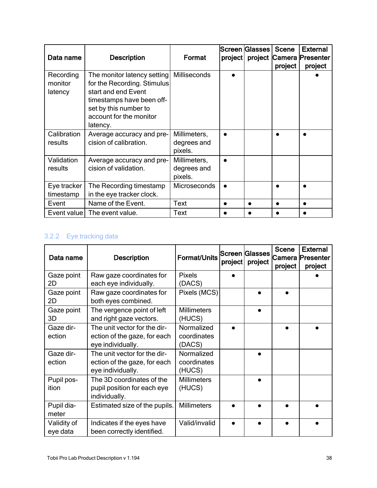| Data name                       | <b>Description</b>                                                                                                                                                             | Format                                 | project | Screen Glasses | <b>Scene</b><br>project | <b>External</b><br>project Camera Presenter<br>project |
|---------------------------------|--------------------------------------------------------------------------------------------------------------------------------------------------------------------------------|----------------------------------------|---------|----------------|-------------------------|--------------------------------------------------------|
| Recording<br>monitor<br>latency | The monitor latency setting<br>for the Recording. Stimulus<br>start and end Event<br>timestamps have been off-<br>set by this number to<br>account for the monitor<br>latency. | <b>Milliseconds</b>                    |         |                |                         |                                                        |
| Calibration<br>results          | Average accuracy and pre-<br>cision of calibration.                                                                                                                            | Millimeters,<br>degrees and<br>pixels. |         |                |                         |                                                        |
| Validation<br>results           | Average accuracy and pre-<br>cision of validation.                                                                                                                             | Millimeters,<br>degrees and<br>pixels. |         |                |                         |                                                        |
| Eye tracker<br>timestamp        | The Recording timestamp<br>in the eye tracker clock.                                                                                                                           | <b>Microseconds</b>                    |         |                | ●                       |                                                        |
| Event                           | Name of the Event.                                                                                                                                                             | <b>Text</b>                            |         |                | $\bullet$               | $\bullet$                                              |
|                                 | Event value   The event value.                                                                                                                                                 | Text                                   |         |                |                         |                                                        |

#### <span id="page-37-0"></span>3.2.2 Eye tracking data

| Data name               | <b>Description</b>                                                                | Format/Units                        | project | Screen  Glasses<br>project | <b>Scene</b><br>project | <b>External</b><br>Camera Presenter<br>project |
|-------------------------|-----------------------------------------------------------------------------------|-------------------------------------|---------|----------------------------|-------------------------|------------------------------------------------|
| Gaze point<br>2D        | Raw gaze coordinates for<br>each eye individually.                                | <b>Pixels</b><br>(DACS)             |         |                            |                         |                                                |
| Gaze point<br>2D        | Raw gaze coordinates for<br>both eyes combined.                                   | Pixels (MCS)                        |         |                            |                         |                                                |
| Gaze point<br>3D        | The vergence point of left<br>and right gaze vectors.                             | <b>Millimeters</b><br>(HUCS)        |         |                            |                         |                                                |
| Gaze dir-<br>ection     | The unit vector for the dir-<br>ection of the gaze, for each<br>eye individually. | Normalized<br>coordinates<br>(DACS) |         |                            |                         |                                                |
| Gaze dir-<br>ection     | The unit vector for the dir-<br>ection of the gaze, for each<br>eye individually. | Normalized<br>coordinates<br>(HUCS) |         |                            |                         |                                                |
| Pupil pos-<br>ition     | The 3D coordinates of the<br>pupil position for each eye<br>individually.         | <b>Millimeters</b><br>(HUCS)        |         |                            |                         |                                                |
| Pupil dia-<br>meter     | Estimated size of the pupils.                                                     | <b>Millimeters</b>                  |         |                            |                         |                                                |
| Validity of<br>eye data | Indicates if the eyes have<br>been correctly identified.                          | Valid/invalid                       |         |                            |                         |                                                |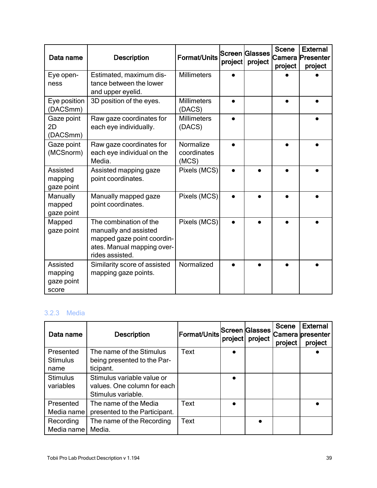| Data name                                  | <b>Description</b>                                                                                                             | Format/Units                      | project | Screen Glasses<br>project | <b>Scene</b><br>Camera<br>project | <b>External</b><br>Presenter<br>project |
|--------------------------------------------|--------------------------------------------------------------------------------------------------------------------------------|-----------------------------------|---------|---------------------------|-----------------------------------|-----------------------------------------|
| Eye open-<br>ness                          | Estimated, maximum dis-<br>tance between the lower<br>and upper eyelid.                                                        | <b>Millimeters</b>                |         |                           |                                   |                                         |
| Eye position<br>(DACSmm)                   | 3D position of the eyes.                                                                                                       | <b>Millimeters</b><br>(DACS)      |         |                           |                                   |                                         |
| Gaze point<br>2D<br>(DACSmm)               | Raw gaze coordinates for<br>each eye individually.                                                                             | <b>Millimeters</b><br>(DACS)      |         |                           |                                   |                                         |
| Gaze point<br>(MCSnorm)                    | Raw gaze coordinates for<br>each eye individual on the<br>Media.                                                               | Normalize<br>coordinates<br>(MCS) |         |                           |                                   |                                         |
| Assisted<br>mapping<br>gaze point          | Assisted mapping gaze<br>point coordinates.                                                                                    | Pixels (MCS)                      |         |                           |                                   |                                         |
| Manually<br>mapped<br>gaze point           | Manually mapped gaze<br>point coordinates.                                                                                     | Pixels (MCS)                      |         |                           |                                   |                                         |
| Mapped<br>gaze point                       | The combination of the<br>manually and assisted<br>mapped gaze point coordin-<br>ates. Manual mapping over-<br>rides assisted. | Pixels (MCS)                      |         |                           |                                   |                                         |
| Assisted<br>mapping<br>gaze point<br>score | Similarity score of assisted<br>mapping gaze points.                                                                           | Normalized                        |         |                           |                                   |                                         |

#### <span id="page-38-0"></span>3.2.3 Media

| Data name                            | <b>Description</b>                                                              | <b>Format/Units Screen Glasses</b> | project | project   | <b>Scene</b><br>project | <b>External</b><br>Camera presenter<br>project |
|--------------------------------------|---------------------------------------------------------------------------------|------------------------------------|---------|-----------|-------------------------|------------------------------------------------|
| Presented<br><b>Stimulus</b><br>name | The name of the Stimulus<br>being presented to the Par-<br>ticipant.            | Text                               |         |           |                         |                                                |
| <b>Stimulus</b><br>variables         | Stimulus variable value or<br>values. One column for each<br>Stimulus variable. |                                    |         |           |                         |                                                |
| Presented<br>Media name              | The name of the Media<br>presented to the Participant.                          | Text                               |         |           |                         |                                                |
| Recording<br>Media name              | The name of the Recording<br>Media.                                             | Text                               |         | $\bullet$ |                         |                                                |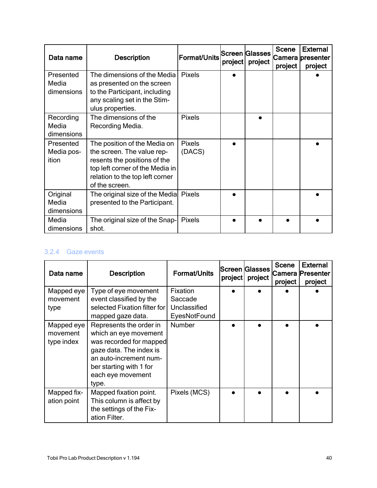| Data name                        | <b>Description</b>                                                                                                                                                                 | <sup>∣</sup> Format/Units∣ <sup>Screen</sup> Glasses | project | project | <b>Scene</b><br>project | <b>External</b><br>Camera presenter<br>project |
|----------------------------------|------------------------------------------------------------------------------------------------------------------------------------------------------------------------------------|------------------------------------------------------|---------|---------|-------------------------|------------------------------------------------|
| Presented<br>Media<br>dimensions | The dimensions of the Media<br>as presented on the screen<br>to the Participant, including<br>any scaling set in the Stim-<br>ulus properties.                                     | Pixels                                               |         |         |                         |                                                |
| Recording<br>Media<br>dimensions | The dimensions of the<br>Recording Media.                                                                                                                                          | <b>Pixels</b>                                        |         |         |                         |                                                |
| Presented<br>Media pos-<br>ition | The position of the Media on<br>the screen. The value rep-<br>resents the positions of the<br>top left corner of the Media in<br>relation to the top left corner<br>of the screen. | <b>Pixels</b><br>(DACS)                              |         |         |                         |                                                |
| Original<br>Media<br>dimensions  | The original size of the Media<br>presented to the Participant.                                                                                                                    | <b>Pixels</b>                                        |         |         |                         |                                                |
| Media<br>dimensions              | The original size of the Snap-<br>shot.                                                                                                                                            | <b>Pixels</b>                                        |         |         |                         |                                                |

#### <span id="page-39-0"></span>3.2.4 Gaze events

| Data name                            | <b>Description</b>                                                                                                                                                                        | <b>Format/Units</b>                                 | project | <b>Screen Glasses</b><br>project | <b>Scene</b><br>project | <b>External</b><br> Camera  Presenter<br>project |
|--------------------------------------|-------------------------------------------------------------------------------------------------------------------------------------------------------------------------------------------|-----------------------------------------------------|---------|----------------------------------|-------------------------|--------------------------------------------------|
| Mapped eye<br>movement<br>type       | Type of eye movement<br>event classified by the<br>selected Fixation filter for<br>mapped gaze data.                                                                                      | Fixation<br>Saccade<br>Unclassified<br>EyesNotFound |         |                                  |                         |                                                  |
| Mapped eye<br>movement<br>type index | Represents the order in<br>which an eye movement<br>was recorded for mapped<br>gaze data. The index is<br>an auto-increment num-<br>ber starting with 1 for<br>each eye movement<br>type. | Number                                              |         |                                  |                         |                                                  |
| Mapped fix-<br>ation point           | Mapped fixation point.<br>This column is affect by<br>the settings of the Fix-<br>ation Filter.                                                                                           | Pixels (MCS)                                        |         |                                  |                         |                                                  |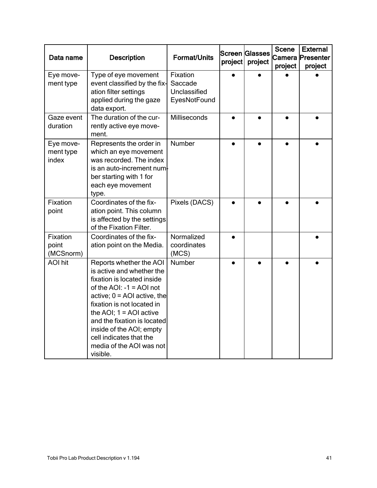| Data name                       | <b>Description</b>                                                                                                                                                                                                                                                                                                                            | <b>Format/Units</b>                                 | project | Screen Glasses<br>project | <b>Scene</b><br>project | <b>External</b><br>Camera Presenter<br>project |
|---------------------------------|-----------------------------------------------------------------------------------------------------------------------------------------------------------------------------------------------------------------------------------------------------------------------------------------------------------------------------------------------|-----------------------------------------------------|---------|---------------------------|-------------------------|------------------------------------------------|
| Eye move-<br>ment type          | Type of eye movement<br>event classified by the fix-<br>ation filter settings<br>applied during the gaze<br>data export.                                                                                                                                                                                                                      | Fixation<br>Saccade<br>Unclassified<br>EyesNotFound |         |                           |                         |                                                |
| Gaze event<br>duration          | The duration of the cur-<br>rently active eye move-<br>ment.                                                                                                                                                                                                                                                                                  | Milliseconds                                        |         |                           |                         |                                                |
| Eye move-<br>ment type<br>index | Represents the order in<br>which an eye movement<br>was recorded. The index<br>is an auto-increment num-<br>ber starting with 1 for<br>each eye movement<br>type.                                                                                                                                                                             | Number                                              |         |                           |                         |                                                |
| Fixation<br>point               | Coordinates of the fix-<br>ation point. This column<br>is affected by the settings<br>of the Fixation Filter.                                                                                                                                                                                                                                 | Pixels (DACS)                                       |         |                           |                         |                                                |
| Fixation<br>point<br>(MCSnorm)  | Coordinates of the fix-<br>ation point on the Media.                                                                                                                                                                                                                                                                                          | Normalized<br>coordinates<br>(MCS)                  |         |                           |                         |                                                |
| <b>AOI</b> hit                  | Reports whether the AOI<br>is active and whether the<br>fixation is located inside<br>of the $AOI$ : -1 = $AOI$ not<br>active; $0 = AOL$ active, the<br>fixation is not located in<br>the AOI; $1 =$ AOI active<br>and the fixation is located<br>inside of the AOI; empty<br>cell indicates that the<br>media of the AOI was not<br>visible. | Number                                              |         |                           |                         |                                                |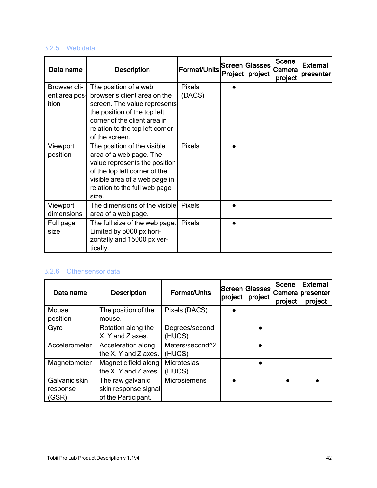#### <span id="page-41-0"></span>3.2.5 Web data

| Data name                              | <b>Description</b>                                                                                                                                                                                         | <b>Format/Units</b>     | Project | Screen  Glasses<br>project | <b>Scene</b><br>Camera<br>project | <b>External</b><br>presenter |
|----------------------------------------|------------------------------------------------------------------------------------------------------------------------------------------------------------------------------------------------------------|-------------------------|---------|----------------------------|-----------------------------------|------------------------------|
| Browser cli-<br>ent area pos-<br>ition | The position of a web<br>browser's client area on the<br>screen. The value represents<br>the position of the top left<br>corner of the client area in<br>relation to the top left corner<br>of the screen. | <b>Pixels</b><br>(DACS) |         |                            |                                   |                              |
| Viewport<br>position                   | The position of the visible<br>area of a web page. The<br>value represents the position<br>of the top left corner of the<br>visible area of a web page in<br>relation to the full web page<br>size.        | <b>Pixels</b>           |         |                            |                                   |                              |
| Viewport<br>dimensions                 | The dimensions of the visible<br>area of a web page.                                                                                                                                                       | <b>Pixels</b>           |         |                            |                                   |                              |
| Full page<br>size                      | The full size of the web page.<br>Limited by 5000 px hori-<br>zontally and 15000 px ver-<br>tically.                                                                                                       | <b>Pixels</b>           |         |                            |                                   |                              |

#### <span id="page-41-1"></span>3.2.6 Other sensor data

| Data name     | <b>Description</b>   | <b>Format/Units</b> | project | Screen Glasses<br>project | <b>Scene</b><br>project | <b>External</b><br>Camera presenter<br>project |
|---------------|----------------------|---------------------|---------|---------------------------|-------------------------|------------------------------------------------|
| Mouse         | The position of the  | Pixels (DACS)       |         |                           |                         |                                                |
| position      | mouse.               |                     |         |                           |                         |                                                |
| Gyro          | Rotation along the   | Degrees/second      |         |                           |                         |                                                |
|               | X, Y and Z axes.     | (HUCS)              |         |                           |                         |                                                |
| Accelerometer | Acceleration along   | Meters/second^2     |         |                           |                         |                                                |
|               | the X, Y and Z axes. | (HUCS)              |         |                           |                         |                                                |
| Magnetometer  | Magnetic field along | Microteslas         |         |                           |                         |                                                |
|               | the X, Y and Z axes. | (HUCS)              |         |                           |                         |                                                |
| Galvanic skin | The raw galvanic     | <b>Microsiemens</b> |         |                           |                         |                                                |
| response      | skin response signal |                     |         |                           |                         |                                                |
| (GSR)         | of the Participant.  |                     |         |                           |                         |                                                |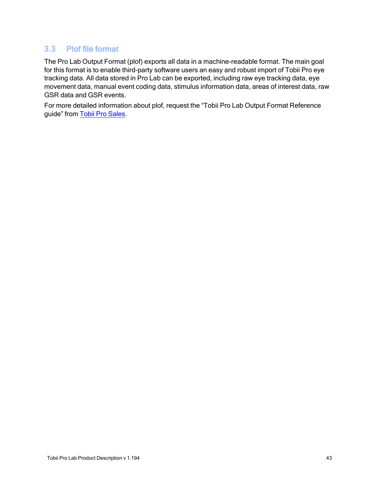### <span id="page-42-0"></span>3.3 Plof file format

The Pro Lab Output Format (plof) exports all data in a machine-readable format. The main goal for this format is to enable third-party software users an easy and robust import of Tobii Pro eye tracking data. All data stored in Pro Lab can be exported, including raw eye tracking data, eye movement data, manual event coding data, stimulus information data, areas of interest data, raw GSR data and GSR events.

For more detailed information about plof, request the "Tobii Pro Lab Output Format Reference guide" from Tobii Pro [Sales](https://www.tobiipro.com/contact/).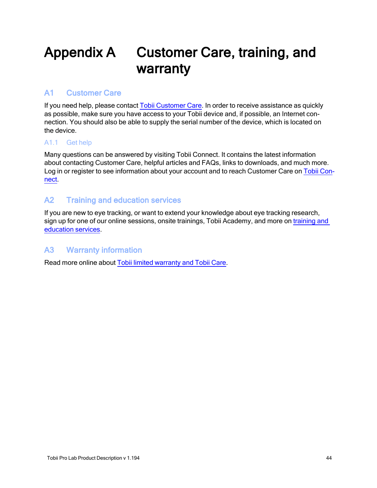# <span id="page-43-0"></span>Appendix A Customer Care, training, and warranty

#### <span id="page-43-1"></span>A1 Customer Care

If you need help, please contact Tobii [Customer](https://connect.tobiipro.com/) Care. In order to receive assistance as quickly as possible, make sure you have access to your Tobii device and, if possible, an Internet connection. You should also be able to supply the serial number of the device, which is located on the device.

#### <span id="page-43-2"></span>A1.1 Get help

Many questions can be answered by visiting Tobii Connect. It contains the latest information about contacting Customer Care, helpful articles and FAQs, links to downloads, and much more. Log in or register to see information about your account and to reach Customer Care on [Tobii](https://connect.tobiipro.com/) Con[nect.](https://connect.tobiipro.com/)

#### <span id="page-43-3"></span>A2 Training and education services

If you are new to eye tracking, or want to extend your knowledge about eye tracking research, sign up for one of our online sessions, onsite trainings, Tobii Academy, and more on [training](https://www.tobiipro.com/product-listing/online-initial-training/) and [education](https://www.tobiipro.com/product-listing/online-initial-training/) services.

#### <span id="page-43-4"></span>A3 Warranty information

Read more online about Tobii limited [warranty](https://www.tobiipro.com/siteassets/tobii-pro/documents/tobii-care-service-description.pdf/) and Tobii Care.